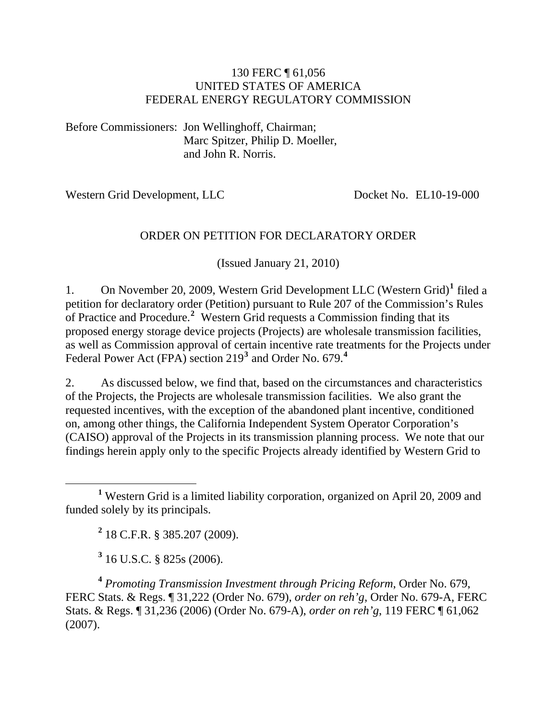#### 130 FERC ¶ 61,056 UNITED STATES OF AMERICA FEDERAL ENERGY REGULATORY COMMISSION

Before Commissioners: Jon Wellinghoff, Chairman; Marc Spitzer, Philip D. Moeller, and John R. Norris.

Western Grid Development, LLC Docket No. EL10-19-000

#### ORDER ON PETITION FOR DECLARATORY ORDER

(Issued January 21, 2010)

[1](#page-0-0). On November 20, 2009, Western Grid Development LLC (Western Grid)<sup>1</sup> filed a petition for declaratory order (Petition) pursuant to Rule 207 of the Commission's Rules of Practice and Procedure.**[2](#page-0-1)** Western Grid requests a Commission finding that its proposed energy storage device projects (Projects) are wholesale transmission facilities, as well as Commission approval of certain incentive rate treatments for the Projects under Federal Power Act (FPA) section 219**[3](#page-0-2)** and Order No. 679.**[4](#page-0-3)**

2. As discussed below, we find that, based on the circumstances and characteristics of the Projects, the Projects are wholesale transmission facilities. We also grant the requested incentives, with the exception of the abandoned plant incentive, conditioned on, among other things, the California Independent System Operator Corporation's (CAISO) approval of the Projects in its transmission planning process. We note that our findings herein apply only to the specific Projects already identified by Western Grid to

**2** 18 C.F.R. § 385.207 (2009).

**3** 16 U.S.C. § 825s (2006).

<span id="page-0-3"></span><span id="page-0-2"></span><span id="page-0-1"></span>**<sup>4</sup>** *Promoting Transmission Investment through Pricing Reform*, Order No. 679, FERC Stats. & Regs. ¶ 31,222 (Order No. 679), *order on reh'g*, Order No. 679-A, FERC Stats. & Regs. ¶ 31,236 (2006) (Order No. 679-A), *order on reh'g*, 119 FERC ¶ 61,062 (2007).

<span id="page-0-0"></span> $\frac{1}{1}$ <sup>1</sup> Western Grid is a limited liability corporation, organized on April 20, 2009 and funded solely by its principals.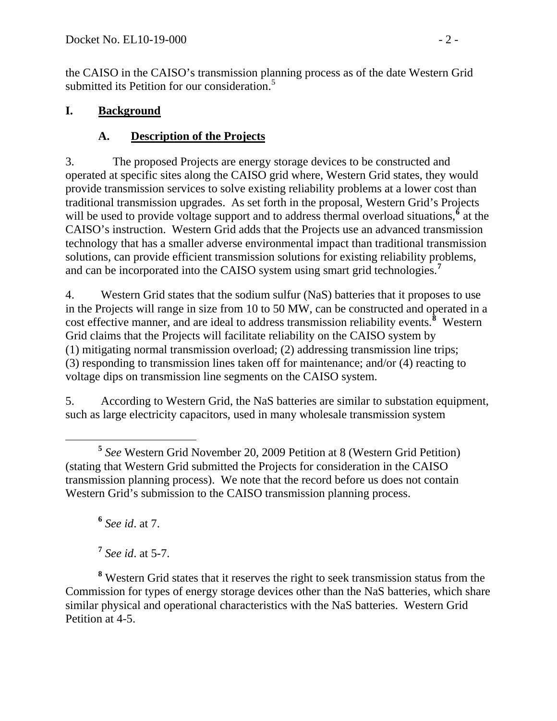the CAISO in the CAISO's transmission planning process as of the date Western Grid submitted its Petition for our consideration.<sup>5</sup>

### **I. Background**

## **A. Description of the Projects**

3. The proposed Projects are energy storage devices to be constructed and operated at specific sites along the CAISO grid where, Western Grid states, they would provide transmission services to solve existing reliability problems at a lower cost than traditional transmission upgrades. As set forth in the proposal, Western Grid's Projects will be used to provide voltage support and to address thermal overload situations, $\delta$  at the CAISO's instruction. Western Grid adds that the Projects use an advanced transmission technology that has a smaller adverse environmental impact than traditional transmission solutions, can provide efficient transmission solutions for existing reliability problems, and can be incorporated into the CAISO system using smart grid technologies.**[7](#page-1-1)**

4. Western Grid states that the sodium sulfur (NaS) batteries that it proposes to use in the Projects will range in size from 10 to 50 MW, can be constructed and operated in a cost effective manner, and are ideal to address transmission reliability events.**[8](#page-1-2)** Western Grid claims that the Projects will facilitate reliability on the CAISO system by (1) mitigating normal transmission overload; (2) addressing transmission line trips; (3) responding to transmission lines taken off for maintenance; and/or (4) reacting to voltage dips on transmission line segments on the CAISO system.

5. According to Western Grid, the NaS batteries are similar to substation equipment, such as large electricity capacitors, used in many wholesale transmission system

**<sup>6</sup>** *See id*. at 7.

**<sup>7</sup>** *See id*. at 5-7.

<span id="page-1-2"></span><span id="page-1-1"></span><span id="page-1-0"></span>**8** Western Grid states that it reserves the right to seek transmission status from the Commission for types of energy storage devices other than the NaS batteries, which share similar physical and operational characteristics with the NaS batteries. Western Grid Petition at 4-5.

**<sup>5</sup>** *See* Western Grid November 20, 2009 Petition at 8 (Western Grid Petition) (stating that Western Grid submitted the Projects for consideration in the CAISO transmission planning process). We note that the record before us does not contain Western Grid's submission to the CAISO transmission planning process.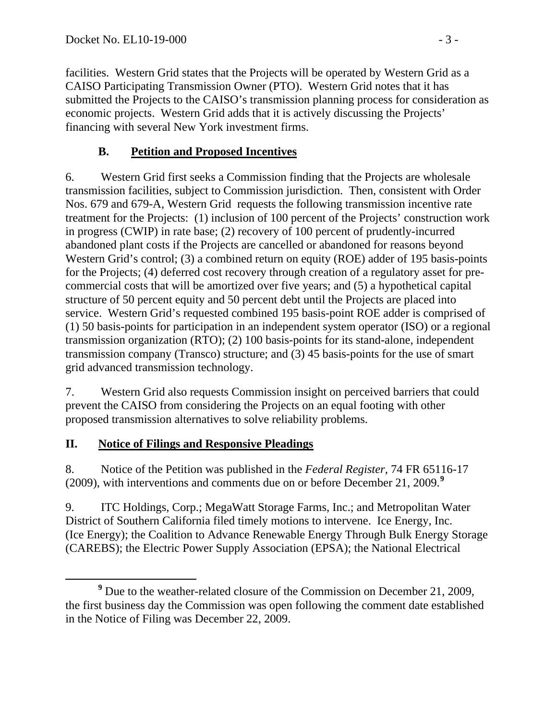facilities. Western Grid states that the Projects will be operated by Western Grid as a CAISO Participating Transmission Owner (PTO). Western Grid notes that it has submitted the Projects to the CAISO's transmission planning process for consideration as economic projects. Western Grid adds that it is actively discussing the Projects' financing with several New York investment firms.

### **B. Petition and Proposed Incentives**

6. Western Grid first seeks a Commission finding that the Projects are wholesale transmission facilities, subject to Commission jurisdiction. Then, consistent with Order Nos. 679 and 679-A, Western Grid requests the following transmission incentive rate treatment for the Projects: (1) inclusion of 100 percent of the Projects' construction work in progress (CWIP) in rate base; (2) recovery of 100 percent of prudently-incurred abandoned plant costs if the Projects are cancelled or abandoned for reasons beyond Western Grid's control; (3) a combined return on equity (ROE) adder of 195 basis-points for the Projects; (4) deferred cost recovery through creation of a regulatory asset for precommercial costs that will be amortized over five years; and (5) a hypothetical capital structure of 50 percent equity and 50 percent debt until the Projects are placed into service. Western Grid's requested combined 195 basis-point ROE adder is comprised of (1) 50 basis-points for participation in an independent system operator (ISO) or a regional transmission organization (RTO); (2) 100 basis-points for its stand-alone, independent transmission company (Transco) structure; and (3) 45 basis-points for the use of smart grid advanced transmission technology.

7. Western Grid also requests Commission insight on perceived barriers that could prevent the CAISO from considering the Projects on an equal footing with other proposed transmission alternatives to solve reliability problems.

#### **II. Notice of Filings and Responsive Pleadings**

8. Notice of the Petition was published in the *Federal Register*, 74 FR 65116-17 (2009), with interventions and comments due on or before December 21, 2009.**[9](#page-2-0)**

9. ITC Holdings, Corp.; MegaWatt Storage Farms, Inc.; and Metropolitan Water District of Southern California filed timely motions to intervene. Ice Energy, Inc. (Ice Energy); the Coalition to Advance Renewable Energy Through Bulk Energy Storage (CAREBS); the Electric Power Supply Association (EPSA); the National Electrical

<span id="page-2-0"></span>**<sup>9</sup>** <sup>9</sup> Due to the weather-related closure of the Commission on December 21, 2009, the first business day the Commission was open following the comment date established in the Notice of Filing was December 22, 2009.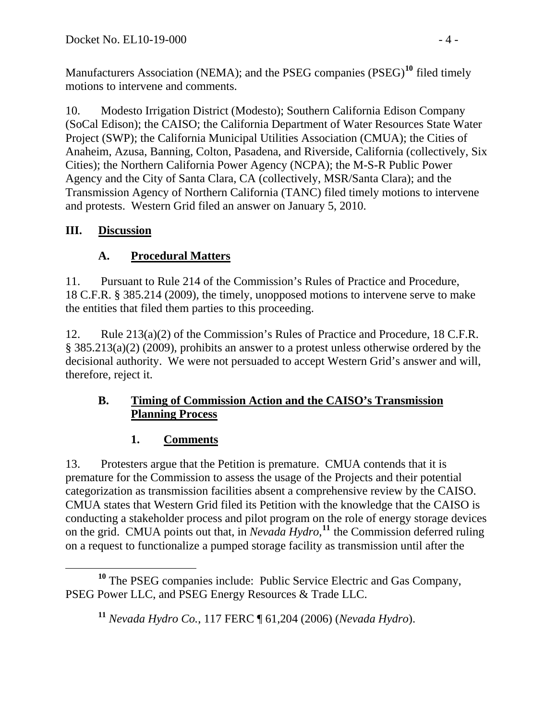Manufacturers Association (NEMA); and the PSEG companies (PSEG)**<sup>10</sup>** filed timely motions to intervene and comments.

10. Modesto Irrigation District (Modesto); Southern California Edison Company (SoCal Edison); the CAISO; the California Department of Water Resources State Water Project (SWP); the California Municipal Utilities Association (CMUA); the Cities of Anaheim, Azusa, Banning, Colton, Pasadena, and Riverside, California (collectively, Six Cities); the Northern California Power Agency (NCPA); the M-S-R Public Power Agency and the City of Santa Clara, CA (collectively, MSR/Santa Clara); and the Transmission Agency of Northern California (TANC) filed timely motions to intervene and protests. Western Grid filed an answer on January 5, 2010.

#### **III. Discussion**

## **A. Procedural Matters**

11. Pursuant to Rule 214 of the Commission's Rules of Practice and Procedure, 18 C.F.R. § 385.214 (2009), the timely, unopposed motions to intervene serve to make the entities that filed them parties to this proceeding.

12. Rule 213(a)(2) of the Commission's Rules of Practice and Procedure, 18 C.F.R. § 385.213(a)(2) (2009), prohibits an answer to a protest unless otherwise ordered by the decisional authority. We were not persuaded to accept Western Grid's answer and will, therefore, reject it.

#### **B. Timing of Commission Action and the CAISO's Transmission Planning Process**

# **1. Comments**

13. Protesters argue that the Petition is premature. CMUA contends that it is premature for the Commission to assess the usage of the Projects and their potential categorization as transmission facilities absent a comprehensive review by the CAISO. CMUA states that Western Grid filed its Petition with the knowledge that the CAISO is conducting a stakeholder process and pilot program on the role of energy storage devices on the grid. CMUA points out that, in *Nevada Hydro*,<sup>[11](#page-3-0)</sup> the Commission deferred ruling on a request to functionalize a pumped storage facility as transmission until after the

<span id="page-3-0"></span>**<sup>10</sup>** The PSEG companies include: Public Service Electric and Gas Company, PSEG Power LLC, and PSEG Energy Resources & Trade LLC.

**<sup>11</sup>** *Nevada Hydro Co.*, 117 FERC ¶ 61,204 (2006) (*Nevada Hydro*).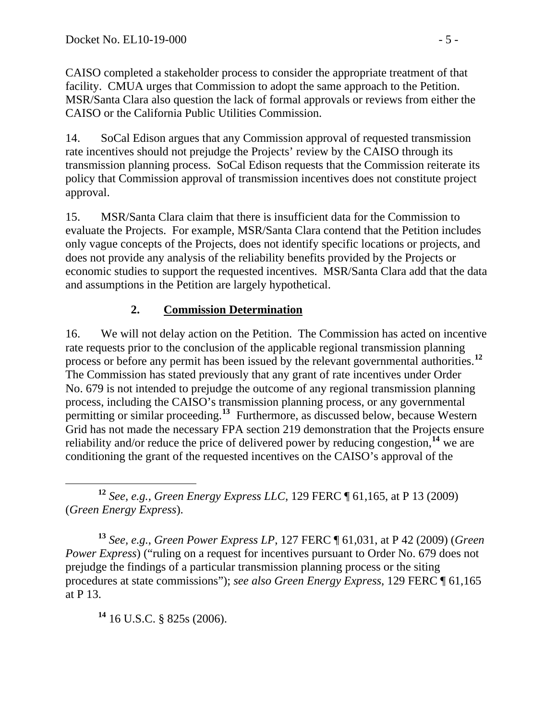CAISO completed a stakeholder process to consider the appropriate treatment of that facility. CMUA urges that Commission to adopt the same approach to the Petition. MSR/Santa Clara also question the lack of formal approvals or reviews from either the CAISO or the California Public Utilities Commission.

14. SoCal Edison argues that any Commission approval of requested transmission rate incentives should not prejudge the Projects' review by the CAISO through its transmission planning process. SoCal Edison requests that the Commission reiterate its policy that Commission approval of transmission incentives does not constitute project approval.

15. MSR/Santa Clara claim that there is insufficient data for the Commission to evaluate the Projects. For example, MSR/Santa Clara contend that the Petition includes only vague concepts of the Projects, does not identify specific locations or projects, and does not provide any analysis of the reliability benefits provided by the Projects or economic studies to support the requested incentives. MSR/Santa Clara add that the data and assumptions in the Petition are largely hypothetical.

## **2. Commission Determination**

16. We will not delay action on the Petition. The Commission has acted on incentive rate requests prior to the conclusion of the applicable regional transmission planning process or before any permit has been issued by the relevant governmental authorities.**[12](#page-4-0)** The Commission has stated previously that any grant of rate incentives under Order No. 679 is not intended to prejudge the outcome of any regional transmission planning process, including the CAISO's transmission planning process, or any governmental permitting or similar proceeding.**[13](#page-4-1)** Furthermore, as discussed below, because Western Grid has not made the necessary FPA section 219 demonstration that the Projects ensure reliability and/or reduce the price of delivered power by reducing congestion,<sup>[14](#page-4-2)</sup> we are conditioning the grant of the requested incentives on the CAISO's approval of the

<span id="page-4-0"></span> **<sup>12</sup>** *See, e.g., Green Energy Express LLC*, 129 FERC ¶ 61,165, at P 13 (2009) (*Green Energy Express*).

<span id="page-4-1"></span>**<sup>13</sup>** *See, e.g.*, *Green Power Express LP*, 127 FERC ¶ 61,031, at P 42 (2009) (*Green Power Express*) ("ruling on a request for incentives pursuant to Order No. 679 does not prejudge the findings of a particular transmission planning process or the siting procedures at state commissions"); *see also Green Energy Express*, 129 FERC ¶ 61,165 at P 13.

<span id="page-4-2"></span>**<sup>14</sup>** 16 U.S.C. § 825s (2006).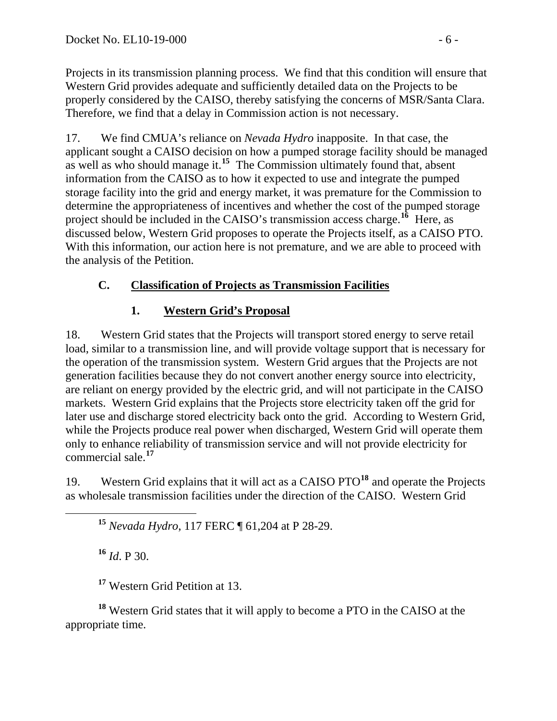Projects in its transmission planning process. We find that this condition will ensure that Western Grid provides adequate and sufficiently detailed data on the Projects to be properly considered by the CAISO, thereby satisfying the concerns of MSR/Santa Clara. Therefore, we find that a delay in Commission action is not necessary.

17. We find CMUA's reliance on *Nevada Hydro* inapposite. In that case, the applicant sought a CAISO decision on how a pumped storage facility should be managed as well as who should manage it.**[15](#page-5-0)** The Commission ultimately found that, absent information from the CAISO as to how it expected to use and integrate the pumped storage facility into the grid and energy market, it was premature for the Commission to determine the appropriateness of incentives and whether the cost of the pumped storage project should be included in the CAISO's transmission access charge.**[16](#page-5-1)** Here, as discussed below, Western Grid proposes to operate the Projects itself, as a CAISO PTO. With this information, our action here is not premature, and we are able to proceed with the analysis of the Petition.

## **C. Classification of Projects as Transmission Facilities**

# **1. Western Grid's Proposal**

18. Western Grid states that the Projects will transport stored energy to serve retail load, similar to a transmission line, and will provide voltage support that is necessary for the operation of the transmission system. Western Grid argues that the Projects are not generation facilities because they do not convert another energy source into electricity, are reliant on energy provided by the electric grid, and will not participate in the CAISO markets. Western Grid explains that the Projects store electricity taken off the grid for later use and discharge stored electricity back onto the grid. According to Western Grid, while the Projects produce real power when discharged, Western Grid will operate them only to enhance reliability of transmission service and will not provide electricity for commercial sale.**[17](#page-5-2)**

<span id="page-5-0"></span>19. Western Grid explains that it will act as a CAISO PTO**[18](#page-5-3)** and operate the Projects as wholesale transmission facilities under the direction of the CAISO. Western Grid

**<sup>15</sup>** *Nevada Hydro*, 117 FERC ¶ 61,204 at P 28-29.

**<sup>16</sup>** *Id*. P 30.

**<sup>17</sup>** Western Grid Petition at 13.

<span id="page-5-3"></span><span id="page-5-2"></span><span id="page-5-1"></span>**<sup>18</sup>** Western Grid states that it will apply to become a PTO in the CAISO at the appropriate time.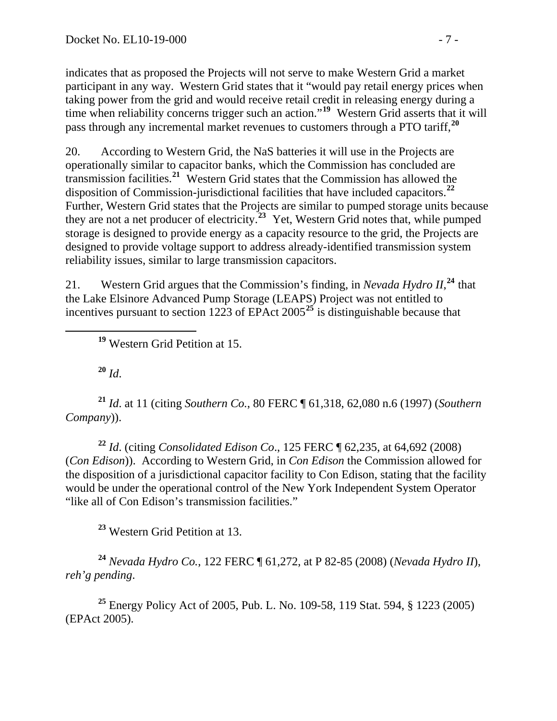indicates that as proposed the Projects will not serve to make Western Grid a market participant in any way. Western Grid states that it "would pay retail energy prices when taking power from the grid and would receive retail credit in releasing energy during a time when reliability concerns trigger such an action."<sup>19</sup> Western Grid asserts that it will pass through any incremental market revenues to customers through a PTO tariff,**<sup>20</sup>**

20. According to Western Grid, the NaS batteries it will use in the Projects are operationally similar to capacitor banks, which the Commission has concluded are transmission facilities.**[21](#page-6-0)** Western Grid states that the Commission has allowed the disposition of Commission-jurisdictional facilities that have included capacitors.**[22](#page-6-1)** Further, Western Grid states that the Projects are similar to pumped storage units because they are not a net producer of electricity.**[23](#page-6-2)** Yet, Western Grid notes that, while pumped storage is designed to provide energy as a capacity resource to the grid, the Projects are designed to provide voltage support to address already-identified transmission system reliability issues, similar to large transmission capacitors.

21. Western Grid argues that the Commission's finding, in *Nevada Hydro II*, **[24](#page-6-3)** that the Lake Elsinore Advanced Pump Storage (LEAPS) Project was not entitled to incentives pursuant to section 1223 of EPAct 2005**[25](#page-6-4)** is distinguishable because that

**<sup>19</sup>** Western Grid Petition at 15.

 $^{20}$  *Id.* 

<span id="page-6-0"></span>**<sup>21</sup>** *Id*. at 11 (citing *Southern Co.*, 80 FERC ¶ 61,318, 62,080 n.6 (1997) (*Southern Company*)).

<span id="page-6-1"></span>**<sup>22</sup>** *Id*. (citing *Consolidated Edison Co*., 125 FERC ¶ 62,235, at 64,692 (2008) (*Con Edison*)). According to Western Grid, in *Con Edison* the Commission allowed for the disposition of a jurisdictional capacitor facility to Con Edison, stating that the facility would be under the operational control of the New York Independent System Operator "like all of Con Edison's transmission facilities."

**<sup>23</sup>** Western Grid Petition at 13.

<span id="page-6-3"></span><span id="page-6-2"></span>**<sup>24</sup>** *Nevada Hydro Co.*, 122 FERC ¶ 61,272, at P 82-85 (2008) (*Nevada Hydro II*), *reh'g pending*.

<span id="page-6-4"></span>**<sup>25</sup>** Energy Policy Act of 2005, Pub. L. No. 109-58, 119 Stat. 594, § 1223 (2005) (EPAct 2005).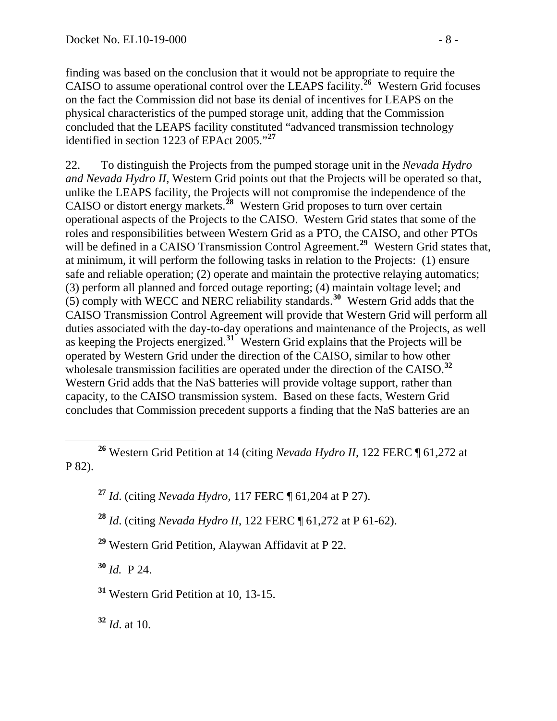finding was based on the conclusion that it would not be appropriate to require the CAISO to assume operational control over the LEAPS facility.**<sup>26</sup>** Western Grid focuses on the fact the Commission did not base its denial of incentives for LEAPS on the physical characteristics of the pumped storage unit, adding that the Commission concluded that the LEAPS facility constituted "advanced transmission technology identified in section 1223 of EPAct 2005."**<sup>27</sup>**

22. To distinguish the Projects from the pumped storage unit in the *Nevada Hydro and Nevada Hydro II*, Western Grid points out that the Projects will be operated so that, unlike the LEAPS facility, the Projects will not compromise the independence of the CAISO or distort energy markets.**[28](#page-7-0)** Western Grid proposes to turn over certain operational aspects of the Projects to the CAISO. Western Grid states that some of the roles and responsibilities between Western Grid as a PTO, the CAISO, and other PTOs will be defined in a CAISO Transmission Control Agreement.<sup>[29](#page-7-1)</sup> Western Grid states that, at minimum, it will perform the following tasks in relation to the Projects: (1) ensure safe and reliable operation; (2) operate and maintain the protective relaying automatics; (3) perform all planned and forced outage reporting; (4) maintain voltage level; and (5) comply with WECC and NERC reliability standards.**[30](#page-7-2)** Western Grid adds that the CAISO Transmission Control Agreement will provide that Western Grid will perform all duties associated with the day-to-day operations and maintenance of the Projects, as well as keeping the Projects energized.**[31](#page-7-3)** Western Grid explains that the Projects will be operated by Western Grid under the direction of the CAISO, similar to how other wholesale transmission facilities are operated under the direction of the CAISO.**[32](#page-7-4)** Western Grid adds that the NaS batteries will provide voltage support, rather than capacity, to the CAISO transmission system. Based on these facts, Western Grid concludes that Commission precedent supports a finding that the NaS batteries are an

<span id="page-7-2"></span>**<sup>30</sup>** *Id.* P 24.

<span id="page-7-3"></span>**<sup>31</sup>** Western Grid Petition at 10, 13-15.

<span id="page-7-4"></span>**<sup>32</sup>** *Id*. at 10.

**<sup>26</sup>** Western Grid Petition at 14 (citing *Nevada Hydro II,* 122 FERC ¶ 61,272 at P 82).

**<sup>27</sup>** *Id*. (citing *Nevada Hydro,* 117 FERC ¶ 61,204 at P 27).

<span id="page-7-0"></span>**<sup>28</sup>** *Id*. (citing *Nevada Hydro II*, 122 FERC ¶ 61,272 at P 61-62).

<span id="page-7-1"></span>**<sup>29</sup>** Western Grid Petition, Alaywan Affidavit at P 22.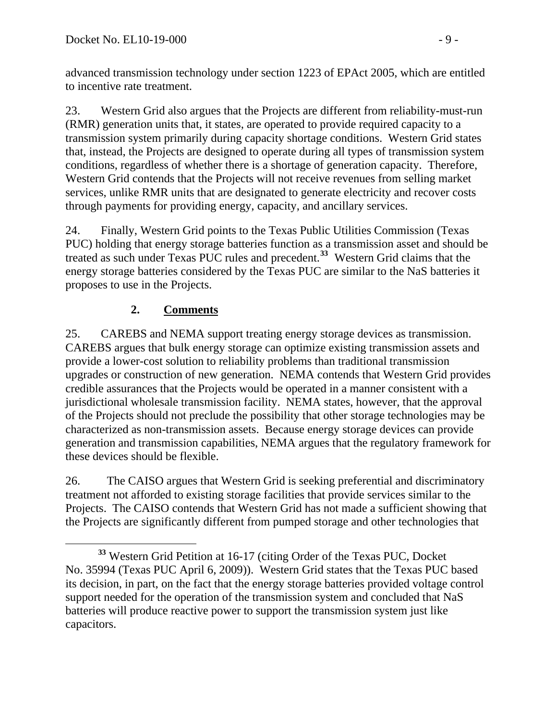advanced transmission technology under section 1223 of EPAct 2005, which are entitled to incentive rate treatment.

23. Western Grid also argues that the Projects are different from reliability-must-run (RMR) generation units that, it states, are operated to provide required capacity to a transmission system primarily during capacity shortage conditions. Western Grid states that, instead, the Projects are designed to operate during all types of transmission system conditions, regardless of whether there is a shortage of generation capacity. Therefore, Western Grid contends that the Projects will not receive revenues from selling market services, unlike RMR units that are designated to generate electricity and recover costs through payments for providing energy, capacity, and ancillary services.

24. Finally, Western Grid points to the Texas Public Utilities Commission (Texas PUC) holding that energy storage batteries function as a transmission asset and should be treated as such under Texas PUC rules and precedent.**[33](#page-8-0)** Western Grid claims that the energy storage batteries considered by the Texas PUC are similar to the NaS batteries it proposes to use in the Projects.

## **2. Comments**

25. CAREBS and NEMA support treating energy storage devices as transmission. CAREBS argues that bulk energy storage can optimize existing transmission assets and provide a lower-cost solution to reliability problems than traditional transmission upgrades or construction of new generation. NEMA contends that Western Grid provides credible assurances that the Projects would be operated in a manner consistent with a jurisdictional wholesale transmission facility. NEMA states, however, that the approval of the Projects should not preclude the possibility that other storage technologies may be characterized as non-transmission assets. Because energy storage devices can provide generation and transmission capabilities, NEMA argues that the regulatory framework for these devices should be flexible.

26. The CAISO argues that Western Grid is seeking preferential and discriminatory treatment not afforded to existing storage facilities that provide services similar to the Projects. The CAISO contends that Western Grid has not made a sufficient showing that the Projects are significantly different from pumped storage and other technologies that

<span id="page-8-0"></span>**<sup>33</sup>** Western Grid Petition at 16-17 (citing Order of the Texas PUC, Docket No. 35994 (Texas PUC April 6, 2009)). Western Grid states that the Texas PUC based its decision, in part, on the fact that the energy storage batteries provided voltage control support needed for the operation of the transmission system and concluded that NaS batteries will produce reactive power to support the transmission system just like capacitors.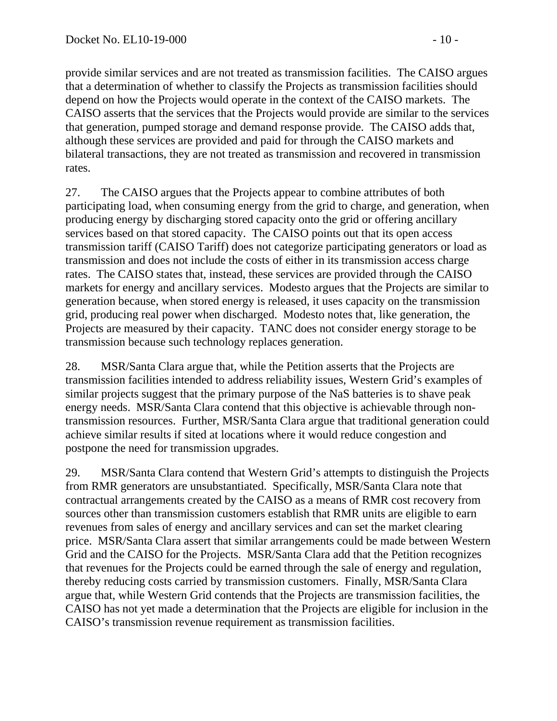provide similar services and are not treated as transmission facilities. The CAISO argues that a determination of whether to classify the Projects as transmission facilities should depend on how the Projects would operate in the context of the CAISO markets. The CAISO asserts that the services that the Projects would provide are similar to the services that generation, pumped storage and demand response provide. The CAISO adds that, although these services are provided and paid for through the CAISO markets and bilateral transactions, they are not treated as transmission and recovered in transmission rates.

27. The CAISO argues that the Projects appear to combine attributes of both participating load, when consuming energy from the grid to charge, and generation, when producing energy by discharging stored capacity onto the grid or offering ancillary services based on that stored capacity. The CAISO points out that its open access transmission tariff (CAISO Tariff) does not categorize participating generators or load as transmission and does not include the costs of either in its transmission access charge rates. The CAISO states that, instead, these services are provided through the CAISO markets for energy and ancillary services. Modesto argues that the Projects are similar to generation because, when stored energy is released, it uses capacity on the transmission grid, producing real power when discharged. Modesto notes that, like generation, the Projects are measured by their capacity. TANC does not consider energy storage to be transmission because such technology replaces generation.

28. MSR/Santa Clara argue that, while the Petition asserts that the Projects are transmission facilities intended to address reliability issues, Western Grid's examples of similar projects suggest that the primary purpose of the NaS batteries is to shave peak energy needs. MSR/Santa Clara contend that this objective is achievable through nontransmission resources. Further, MSR/Santa Clara argue that traditional generation could achieve similar results if sited at locations where it would reduce congestion and postpone the need for transmission upgrades.

29. MSR/Santa Clara contend that Western Grid's attempts to distinguish the Projects from RMR generators are unsubstantiated. Specifically, MSR/Santa Clara note that contractual arrangements created by the CAISO as a means of RMR cost recovery from sources other than transmission customers establish that RMR units are eligible to earn revenues from sales of energy and ancillary services and can set the market clearing price. MSR/Santa Clara assert that similar arrangements could be made between Western Grid and the CAISO for the Projects. MSR/Santa Clara add that the Petition recognizes that revenues for the Projects could be earned through the sale of energy and regulation, thereby reducing costs carried by transmission customers. Finally, MSR/Santa Clara argue that, while Western Grid contends that the Projects are transmission facilities, the CAISO has not yet made a determination that the Projects are eligible for inclusion in the CAISO's transmission revenue requirement as transmission facilities.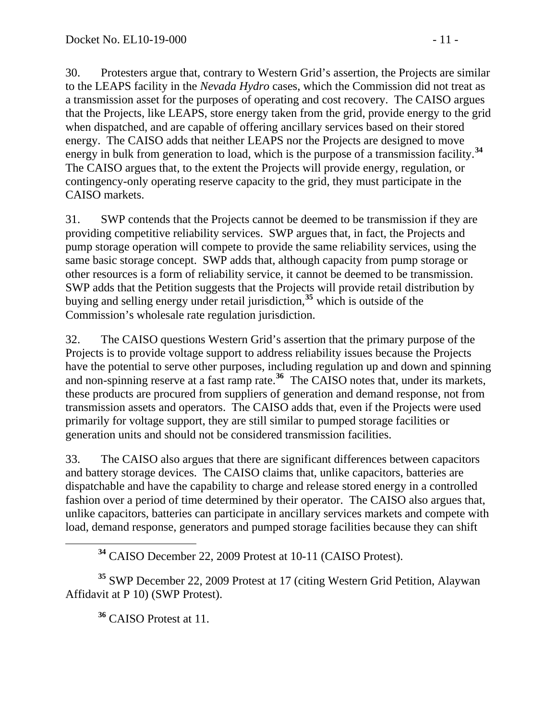30. Protesters argue that, contrary to Western Grid's assertion, the Projects are similar to the LEAPS facility in the *Nevada Hydro* cases, which the Commission did not treat as a transmission asset for the purposes of operating and cost recovery. The CAISO argues that the Projects, like LEAPS, store energy taken from the grid, provide energy to the grid when dispatched, and are capable of offering ancillary services based on their stored energy. The CAISO adds that neither LEAPS nor the Projects are designed to move energy in bulk from generation to load, which is the purpose of a transmission facility.**[34](#page-10-0)** The CAISO argues that, to the extent the Projects will provide energy, regulation, or contingency-only operating reserve capacity to the grid, they must participate in the CAISO markets.

31. SWP contends that the Projects cannot be deemed to be transmission if they are providing competitive reliability services. SWP argues that, in fact, the Projects and pump storage operation will compete to provide the same reliability services, using the same basic storage concept. SWP adds that, although capacity from pump storage or other resources is a form of reliability service, it cannot be deemed to be transmission. SWP adds that the Petition suggests that the Projects will provide retail distribution by buying and selling energy under retail jurisdiction,**[35](#page-10-1)** which is outside of the Commission's wholesale rate regulation jurisdiction.

32. The CAISO questions Western Grid's assertion that the primary purpose of the Projects is to provide voltage support to address reliability issues because the Projects have the potential to serve other purposes, including regulation up and down and spinning and non-spinning reserve at a fast ramp rate.**[36](#page-10-2)** The CAISO notes that, under its markets, these products are procured from suppliers of generation and demand response, not from transmission assets and operators. The CAISO adds that, even if the Projects were used primarily for voltage support, they are still similar to pumped storage facilities or generation units and should not be considered transmission facilities.

33. The CAISO also argues that there are significant differences between capacitors and battery storage devices. The CAISO claims that, unlike capacitors, batteries are dispatchable and have the capability to charge and release stored energy in a controlled fashion over a period of time determined by their operator. The CAISO also argues that, unlike capacitors, batteries can participate in ancillary services markets and compete with load, demand response, generators and pumped storage facilities because they can shift

**<sup>34</sup>** CAISO December 22, 2009 Protest at 10-11 (CAISO Protest).

<span id="page-10-2"></span><span id="page-10-1"></span><span id="page-10-0"></span>**<sup>35</sup>** SWP December 22, 2009 Protest at 17 (citing Western Grid Petition, Alaywan Affidavit at P 10) (SWP Protest).

**<sup>36</sup>** CAISO Protest at 11.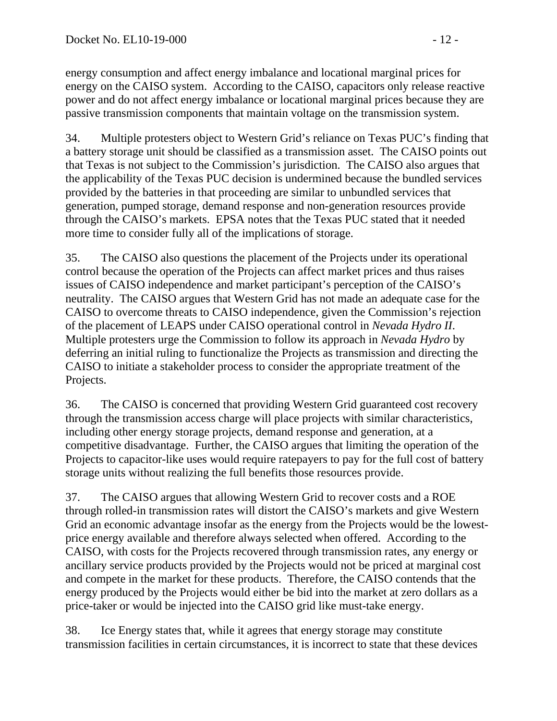energy consumption and affect energy imbalance and locational marginal prices for energy on the CAISO system. According to the CAISO, capacitors only release reactive power and do not affect energy imbalance or locational marginal prices because they are passive transmission components that maintain voltage on the transmission system.

34. Multiple protesters object to Western Grid's reliance on Texas PUC's finding that a battery storage unit should be classified as a transmission asset. The CAISO points out that Texas is not subject to the Commission's jurisdiction. The CAISO also argues that the applicability of the Texas PUC decision is undermined because the bundled services provided by the batteries in that proceeding are similar to unbundled services that generation, pumped storage, demand response and non-generation resources provide through the CAISO's markets. EPSA notes that the Texas PUC stated that it needed more time to consider fully all of the implications of storage.

35. The CAISO also questions the placement of the Projects under its operational control because the operation of the Projects can affect market prices and thus raises issues of CAISO independence and market participant's perception of the CAISO's neutrality. The CAISO argues that Western Grid has not made an adequate case for the CAISO to overcome threats to CAISO independence, given the Commission's rejection of the placement of LEAPS under CAISO operational control in *Nevada Hydro II*. Multiple protesters urge the Commission to follow its approach in *Nevada Hydro* by deferring an initial ruling to functionalize the Projects as transmission and directing the CAISO to initiate a stakeholder process to consider the appropriate treatment of the Projects.

36. The CAISO is concerned that providing Western Grid guaranteed cost recovery through the transmission access charge will place projects with similar characteristics, including other energy storage projects, demand response and generation, at a competitive disadvantage. Further, the CAISO argues that limiting the operation of the Projects to capacitor-like uses would require ratepayers to pay for the full cost of battery storage units without realizing the full benefits those resources provide.

37. The CAISO argues that allowing Western Grid to recover costs and a ROE through rolled-in transmission rates will distort the CAISO's markets and give Western Grid an economic advantage insofar as the energy from the Projects would be the lowestprice energy available and therefore always selected when offered. According to the CAISO, with costs for the Projects recovered through transmission rates, any energy or ancillary service products provided by the Projects would not be priced at marginal cost and compete in the market for these products. Therefore, the CAISO contends that the energy produced by the Projects would either be bid into the market at zero dollars as a price-taker or would be injected into the CAISO grid like must-take energy.

38. Ice Energy states that, while it agrees that energy storage may constitute transmission facilities in certain circumstances, it is incorrect to state that these devices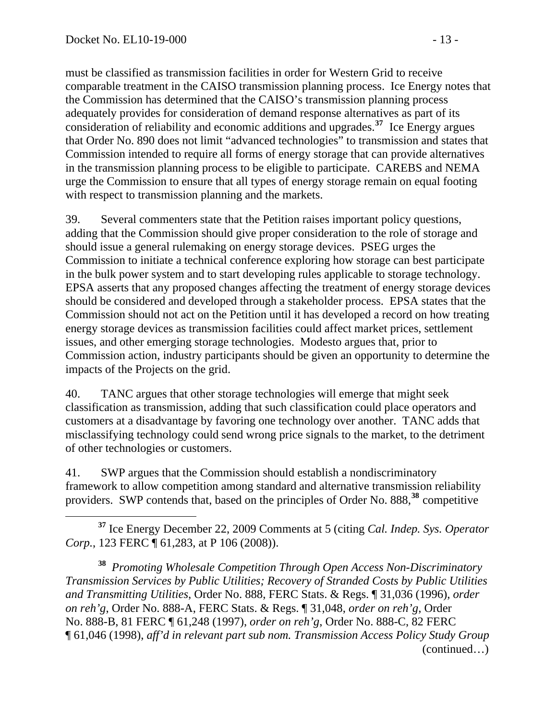must be classified as transmission facilities in order for Western Grid to receive comparable treatment in the CAISO transmission planning process. Ice Energy notes that the Commission has determined that the CAISO's transmission planning process adequately provides for consideration of demand response alternatives as part of its consideration of reliability and economic additions and upgrades.**<sup>37</sup>** Ice Energy argues that Order No. 890 does not limit "advanced technologies" to transmission and states that Commission intended to require all forms of energy storage that can provide alternatives in the transmission planning process to be eligible to participate. CAREBS and NEMA urge the Commission to ensure that all types of energy storage remain on equal footing with respect to transmission planning and the markets.

39. Several commenters state that the Petition raises important policy questions, adding that the Commission should give proper consideration to the role of storage and should issue a general rulemaking on energy storage devices. PSEG urges the Commission to initiate a technical conference exploring how storage can best participate in the bulk power system and to start developing rules applicable to storage technology. EPSA asserts that any proposed changes affecting the treatment of energy storage devices should be considered and developed through a stakeholder process. EPSA states that the Commission should not act on the Petition until it has developed a record on how treating energy storage devices as transmission facilities could affect market prices, settlement issues, and other emerging storage technologies. Modesto argues that, prior to Commission action, industry participants should be given an opportunity to determine the impacts of the Projects on the grid.

40. TANC argues that other storage technologies will emerge that might seek classification as transmission, adding that such classification could place operators and customers at a disadvantage by favoring one technology over another. TANC adds that misclassifying technology could send wrong price signals to the market, to the detriment of other technologies or customers.

41. SWP argues that the Commission should establish a nondiscriminatory framework to allow competition among standard and alternative transmission reliability providers. SWP contends that, based on the principles of Order No. 888,**[38](#page-12-0)** competitive

 **<sup>37</sup>** Ice Energy December 22, 2009 Comments at 5 (citing *Cal. Indep. Sys. Operator Corp.*, 123 FERC ¶ 61,283, at P 106 (2008)).

<span id="page-12-0"></span> (continued…) **<sup>38</sup>** *Promoting Wholesale Competition Through Open Access Non-Discriminatory Transmission Services by Public Utilities; Recovery of Stranded Costs by Public Utilities and Transmitting Utilities*, Order No. 888, FERC Stats. & Regs. ¶ 31,036 (1996), *order on reh'g*, Order No. 888-A, FERC Stats. & Regs. ¶ 31,048, *order on reh'g*, Order No. 888-B, 81 FERC ¶ 61,248 (1997), *order on reh'g*, Order No. 888-C, 82 FERC ¶ 61,046 (1998), *aff'd in relevant part sub nom. Transmission Access Policy Study Group*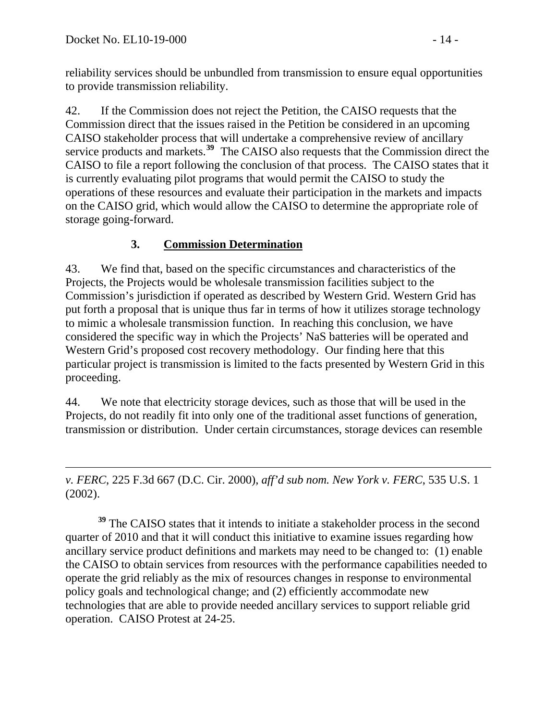reliability services should be unbundled from transmission to ensure equal opportunities to provide transmission reliability.

42. If the Commission does not reject the Petition, the CAISO requests that the Commission direct that the issues raised in the Petition be considered in an upcoming CAISO stakeholder process that will undertake a comprehensive review of ancillary service products and markets.**[39](#page-13-0)** The CAISO also requests that the Commission direct the CAISO to file a report following the conclusion of that process. The CAISO states that it is currently evaluating pilot programs that would permit the CAISO to study the operations of these resources and evaluate their participation in the markets and impacts on the CAISO grid, which would allow the CAISO to determine the appropriate role of storage going-forward.

#### **3. Commission Determination**

43. We find that, based on the specific circumstances and characteristics of the Projects, the Projects would be wholesale transmission facilities subject to the Commission's jurisdiction if operated as described by Western Grid. Western Grid has put forth a proposal that is unique thus far in terms of how it utilizes storage technology to mimic a wholesale transmission function. In reaching this conclusion, we have considered the specific way in which the Projects' NaS batteries will be operated and Western Grid's proposed cost recovery methodology. Our finding here that this particular project is transmission is limited to the facts presented by Western Grid in this proceeding.

44. We note that electricity storage devices, such as those that will be used in the Projects, do not readily fit into only one of the traditional asset functions of generation, transmission or distribution. Under certain circumstances, storage devices can resemble

 $\overline{a}$ *v. FERC*, 225 F.3d 667 (D.C. Cir. 2000), *aff'd sub nom. New York v. FERC*, 535 U.S. 1 (2002).

<span id="page-13-0"></span>**<sup>39</sup>** The CAISO states that it intends to initiate a stakeholder process in the second quarter of 2010 and that it will conduct this initiative to examine issues regarding how ancillary service product definitions and markets may need to be changed to: (1) enable the CAISO to obtain services from resources with the performance capabilities needed to operate the grid reliably as the mix of resources changes in response to environmental policy goals and technological change; and (2) efficiently accommodate new technologies that are able to provide needed ancillary services to support reliable grid operation. CAISO Protest at 24-25.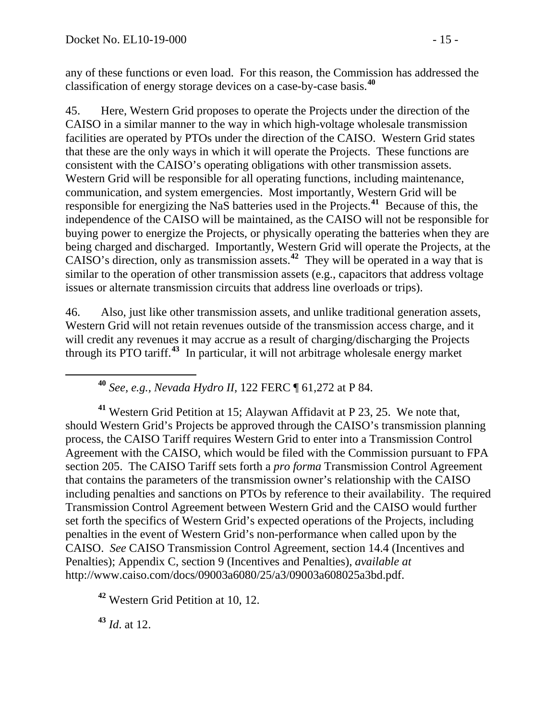any of these functions or even load. For this reason, the Commission has addressed the classification of energy storage devices on a case-by-case basis.**<sup>40</sup>**

45. Here, Western Grid proposes to operate the Projects under the direction of the CAISO in a similar manner to the way in which high-voltage wholesale transmission facilities are operated by PTOs under the direction of the CAISO. Western Grid states that these are the only ways in which it will operate the Projects. These functions are consistent with the CAISO's operating obligations with other transmission assets. Western Grid will be responsible for all operating functions, including maintenance, communication, and system emergencies. Most importantly, Western Grid will be responsible for energizing the NaS batteries used in the Projects.**[41](#page-14-0)** Because of this, the independence of the CAISO will be maintained, as the CAISO will not be responsible for buying power to energize the Projects, or physically operating the batteries when they are being charged and discharged. Importantly, Western Grid will operate the Projects, at the CAISO's direction, only as transmission assets.**[42](#page-14-1)** They will be operated in a way that is similar to the operation of other transmission assets (e.g., capacitors that address voltage issues or alternate transmission circuits that address line overloads or trips).

46. Also, just like other transmission assets, and unlike traditional generation assets, Western Grid will not retain revenues outside of the transmission access charge, and it will credit any revenues it may accrue as a result of charging/discharging the Projects through its PTO tariff.**[43](#page-14-2)** In particular, it will not arbitrage wholesale energy market

<span id="page-14-0"></span>**<sup>41</sup>** Western Grid Petition at 15; Alaywan Affidavit at P 23, 25. We note that, should Western Grid's Projects be approved through the CAISO's transmission planning process, the CAISO Tariff requires Western Grid to enter into a Transmission Control Agreement with the CAISO, which would be filed with the Commission pursuant to FPA section 205. The CAISO Tariff sets forth a *pro forma* Transmission Control Agreement that contains the parameters of the transmission owner's relationship with the CAISO including penalties and sanctions on PTOs by reference to their availability. The required Transmission Control Agreement between Western Grid and the CAISO would further set forth the specifics of Western Grid's expected operations of the Projects, including penalties in the event of Western Grid's non-performance when called upon by the CAISO. *See* CAISO Transmission Control Agreement, section 14.4 (Incentives and Penalties); Appendix C, section 9 (Incentives and Penalties), *available at* http://www.caiso.com/docs/09003a6080/25/a3/09003a608025a3bd.pdf.

<span id="page-14-1"></span>**<sup>42</sup>** Western Grid Petition at 10, 12.

<span id="page-14-2"></span>**<sup>43</sup>** *Id*. at 12.

**<sup>40</sup>** *See, e.g., Nevada Hydro II,* 122 FERC ¶ 61,272 at P 84.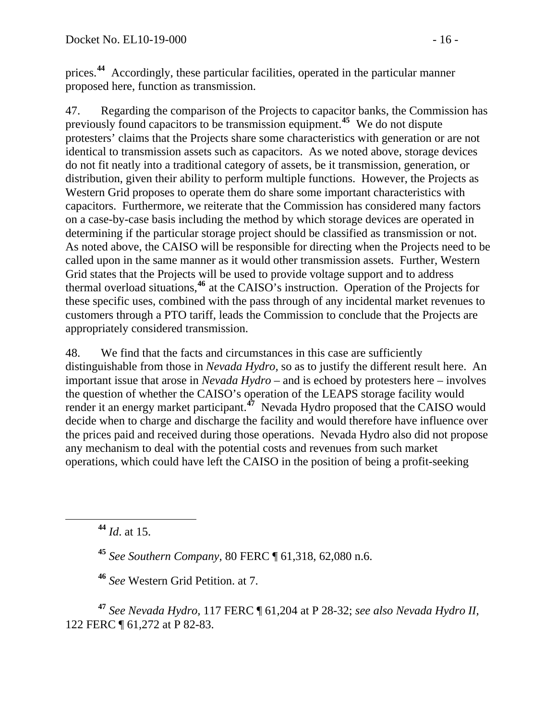prices.**<sup>44</sup>** Accordingly, these particular facilities, operated in the particular manner proposed here, function as transmission.

47. Regarding the comparison of the Projects to capacitor banks, the Commission has previously found capacitors to be transmission equipment.**[45](#page-15-0)** We do not dispute protesters' claims that the Projects share some characteristics with generation or are not identical to transmission assets such as capacitors. As we noted above, storage devices do not fit neatly into a traditional category of assets, be it transmission, generation, or distribution, given their ability to perform multiple functions. However, the Projects as Western Grid proposes to operate them do share some important characteristics with capacitors. Furthermore, we reiterate that the Commission has considered many factors on a case-by-case basis including the method by which storage devices are operated in determining if the particular storage project should be classified as transmission or not. As noted above, the CAISO will be responsible for directing when the Projects need to be called upon in the same manner as it would other transmission assets. Further, Western Grid states that the Projects will be used to provide voltage support and to address thermal overload situations,**[46](#page-15-1)** at the CAISO's instruction. Operation of the Projects for these specific uses, combined with the pass through of any incidental market revenues to customers through a PTO tariff, leads the Commission to conclude that the Projects are appropriately considered transmission.

48. We find that the facts and circumstances in this case are sufficiently distinguishable from those in *Nevada Hydro,* so as to justify the different result here. An important issue that arose in *Nevada Hydro* – and is echoed by protesters here – involves the question of whether the CAISO's operation of the LEAPS storage facility would render it an energy market participant.**[47](#page-15-2)** Nevada Hydro proposed that the CAISO would decide when to charge and discharge the facility and would therefore have influence over the prices paid and received during those operations. Nevada Hydro also did not propose any mechanism to deal with the potential costs and revenues from such market operations, which could have left the CAISO in the position of being a profit-seeking

**<sup>44</sup>** *Id*. at 15.

**<sup>45</sup>** *See Southern Company*, 80 FERC ¶ 61,318, 62,080 n.6.

**<sup>46</sup>** *See* Western Grid Petition. at 7.

<span id="page-15-2"></span><span id="page-15-1"></span><span id="page-15-0"></span>**<sup>47</sup>** *See Nevada Hydro,* 117 FERC ¶ 61,204 at P 28-32; *see also Nevada Hydro II,*  122 FERC ¶ 61,272 at P 82-83.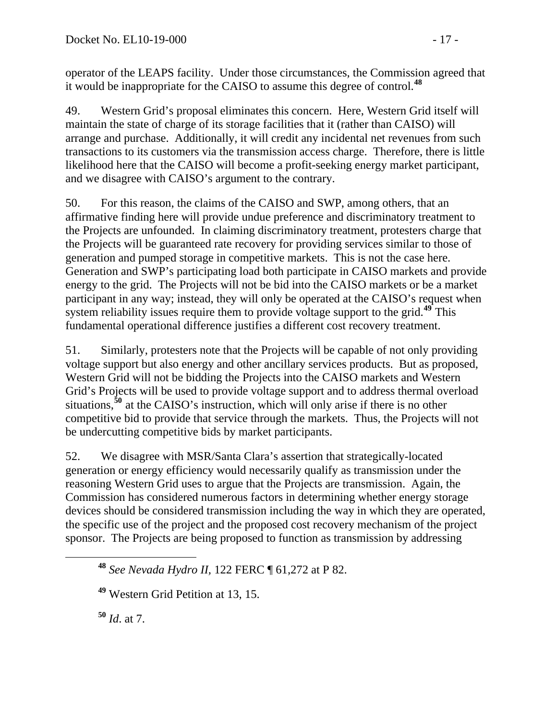operator of the LEAPS facility. Under those circumstances, the Commission agreed that it would be inappropriate for the CAISO to assume this degree of control.**<sup>48</sup>**

49. Western Grid's proposal eliminates this concern. Here, Western Grid itself will maintain the state of charge of its storage facilities that it (rather than CAISO) will arrange and purchase. Additionally, it will credit any incidental net revenues from such transactions to its customers via the transmission access charge. Therefore, there is little likelihood here that the CAISO will become a profit-seeking energy market participant, and we disagree with CAISO's argument to the contrary.

50. For this reason, the claims of the CAISO and SWP, among others, that an affirmative finding here will provide undue preference and discriminatory treatment to the Projects are unfounded. In claiming discriminatory treatment, protesters charge that the Projects will be guaranteed rate recovery for providing services similar to those of generation and pumped storage in competitive markets. This is not the case here. Generation and SWP's participating load both participate in CAISO markets and provide energy to the grid. The Projects will not be bid into the CAISO markets or be a market participant in any way; instead, they will only be operated at the CAISO's request when system reliability issues require them to provide voltage support to the grid.**[49](#page-16-0)** This fundamental operational difference justifies a different cost recovery treatment.

51. Similarly, protesters note that the Projects will be capable of not only providing voltage support but also energy and other ancillary services products. But as proposed, Western Grid will not be bidding the Projects into the CAISO markets and Western Grid's Projects will be used to provide voltage support and to address thermal overload situations,<sup>[50](#page-16-1)</sup> at the CAISO's instruction, which will only arise if there is no other competitive bid to provide that service through the markets. Thus, the Projects will not be undercutting competitive bids by market participants.

52. We disagree with MSR/Santa Clara's assertion that strategically-located generation or energy efficiency would necessarily qualify as transmission under the reasoning Western Grid uses to argue that the Projects are transmission. Again, the Commission has considered numerous factors in determining whether energy storage devices should be considered transmission including the way in which they are operated, the specific use of the project and the proposed cost recovery mechanism of the project sponsor. The Projects are being proposed to function as transmission by addressing

<span id="page-16-1"></span>**<sup>50</sup>** *Id*. at 7.

**<sup>48</sup>** *See Nevada Hydro II,* 122 FERC ¶ 61,272 at P 82.

<span id="page-16-0"></span>**<sup>49</sup>** Western Grid Petition at 13, 15.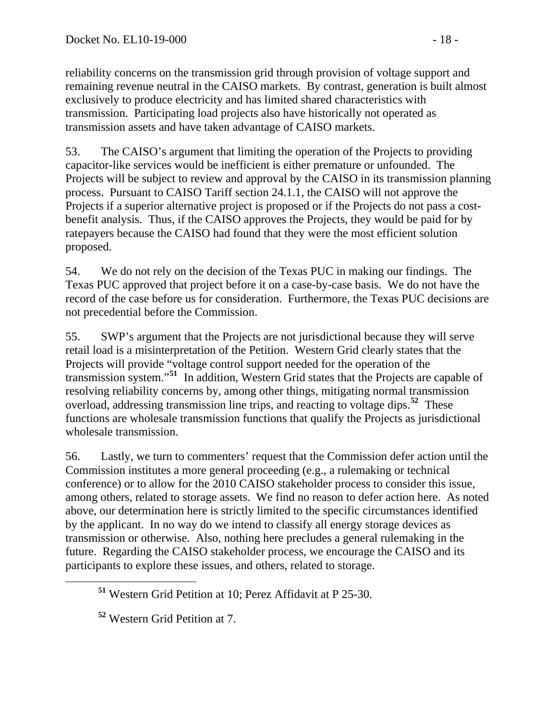reliability concerns on the transmission grid through provision of voltage support and remaining revenue neutral in the CAISO markets. By contrast, generation is built almost exclusively to produce electricity and has limited shared characteristics with transmission. Participating load projects also have historically not operated as transmission assets and have taken advantage of CAISO markets.

53. The CAISO's argument that limiting the operation of the Projects to providing capacitor-like services would be inefficient is either premature or unfounded. The Projects will be subject to review and approval by the CAISO in its transmission planning process. Pursuant to CAISO Tariff section 24.1.1, the CAISO will not approve the Projects if a superior alternative project is proposed or if the Projects do not pass a costbenefit analysis. Thus, if the CAISO approves the Projects, they would be paid for by ratepayers because the CAISO had found that they were the most efficient solution proposed.

54. We do not rely on the decision of the Texas PUC in making our findings. The Texas PUC approved that project before it on a case-by-case basis. We do not have the record of the case before us for consideration. Furthermore, the Texas PUC decisions are not precedential before the Commission.

55. SWP's argument that the Projects are not jurisdictional because they will serve retail load is a misinterpretation of the Petition. Western Grid clearly states that the Projects will provide "voltage control support needed for the operation of the transmission system."**[51](#page-17-0)** In addition, Western Grid states that the Projects are capable of resolving reliability concerns by, among other things, mitigating normal transmission overload, addressing transmission line trips, and reacting to voltage dips.**[52](#page-17-1)** These functions are wholesale transmission functions that qualify the Projects as jurisdictional wholesale transmission.

56. Lastly, we turn to commenters' request that the Commission defer action until the Commission institutes a more general proceeding (e.g., a rulemaking or technical conference) or to allow for the 2010 CAISO stakeholder process to consider this issue, among others, related to storage assets. We find no reason to defer action here. As noted above, our determination here is strictly limited to the specific circumstances identified by the applicant. In no way do we intend to classify all energy storage devices as transmission or otherwise. Also, nothing here precludes a general rulemaking in the future. Regarding the CAISO stakeholder process, we encourage the CAISO and its participants to explore these issues, and others, related to storage.

<span id="page-17-0"></span>**<sup>51</sup>** Western Grid Petition at 10; Perez Affidavit at P 25-30.

<span id="page-17-1"></span>**<sup>52</sup>** Western Grid Petition at 7.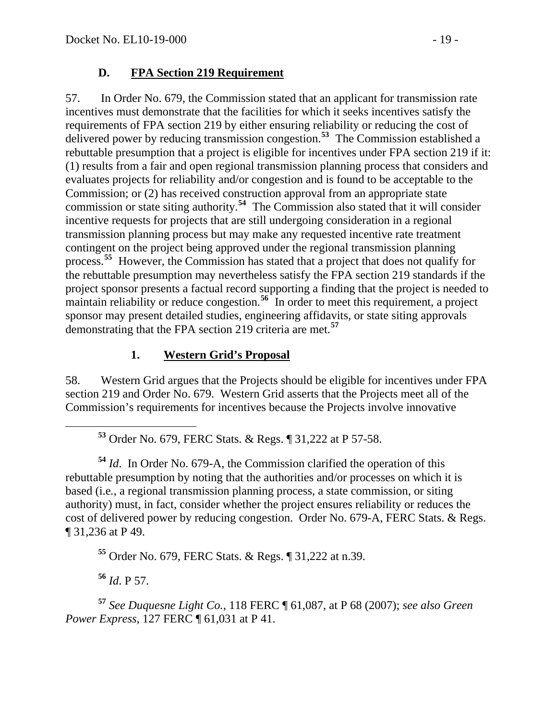#### **D. FPA Section 219 Requirement**

57. In Order No. 679, the Commission stated that an applicant for transmission rate incentives must demonstrate that the facilities for which it seeks incentives satisfy the requirements of FPA section 219 by either ensuring reliability or reducing the cost of delivered power by reducing transmission congestion.**[53](#page-18-0)** The Commission established a rebuttable presumption that a project is eligible for incentives under FPA section 219 if it: (1) results from a fair and open regional transmission planning process that considers and evaluates projects for reliability and/or congestion and is found to be acceptable to the Commission; or (2) has received construction approval from an appropriate state commission or state siting authority.**[54](#page-18-1)** The Commission also stated that it will consider incentive requests for projects that are still undergoing consideration in a regional transmission planning process but may make any requested incentive rate treatment contingent on the project being approved under the regional transmission planning process.<sup>[55](#page-18-2)</sup> However, the Commission has stated that a project that does not qualify for the rebuttable presumption may nevertheless satisfy the FPA section 219 standards if the project sponsor presents a factual record supporting a finding that the project is needed to maintain reliability or reduce congestion.<sup>[56](#page-18-3)</sup> In order to meet this requirement, a project sponsor may present detailed studies, engineering affidavits, or state siting approvals demonstrating that the FPA section 219 criteria are met.**[57](#page-18-4)**

#### **1. Western Grid's Proposal**

58. Western Grid argues that the Projects should be eligible for incentives under FPA section 219 and Order No. 679. Western Grid asserts that the Projects meet all of the Commission's requirements for incentives because the Projects involve innovative

**<sup>53</sup>** Order No. 679, FERC Stats. & Regs. ¶ 31,222 at P 57-58.

<span id="page-18-1"></span><span id="page-18-0"></span>**<sup>54</sup>** *Id*. In Order No. 679-A, the Commission clarified the operation of this rebuttable presumption by noting that the authorities and/or processes on which it is based (i.e*.*, a regional transmission planning process, a state commission, or siting authority) must, in fact, consider whether the project ensures reliability or reduces the cost of delivered power by reducing congestion. Order No. 679-A, FERC Stats. & Regs. ¶ 31,236 at P 49.

**<sup>55</sup>** Order No. 679, FERC Stats. & Regs. ¶ 31,222 at n.39.

**<sup>56</sup>** *Id*. P 57.

<span id="page-18-4"></span><span id="page-18-3"></span><span id="page-18-2"></span>**<sup>57</sup>** *See Duquesne Light Co.*, 118 FERC ¶ 61,087, at P 68 (2007); *see also Green Power Express*, 127 FERC ¶ 61,031 at P 41.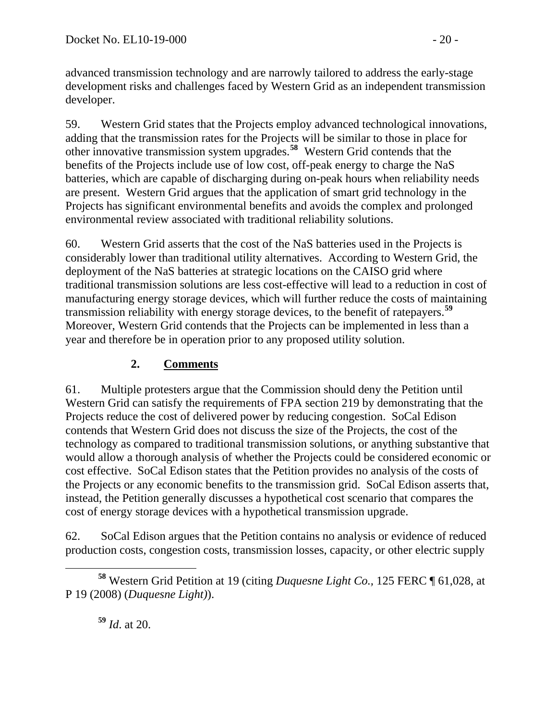advanced transmission technology and are narrowly tailored to address the early-stage development risks and challenges faced by Western Grid as an independent transmission developer.

59. Western Grid states that the Projects employ advanced technological innovations, adding that the transmission rates for the Projects will be similar to those in place for other innovative transmission system upgrades.**[58](#page-19-0)** Western Grid contends that the benefits of the Projects include use of low cost, off-peak energy to charge the NaS batteries, which are capable of discharging during on-peak hours when reliability needs are present. Western Grid argues that the application of smart grid technology in the Projects has significant environmental benefits and avoids the complex and prolonged environmental review associated with traditional reliability solutions.

60. Western Grid asserts that the cost of the NaS batteries used in the Projects is considerably lower than traditional utility alternatives. According to Western Grid, the deployment of the NaS batteries at strategic locations on the CAISO grid where traditional transmission solutions are less cost-effective will lead to a reduction in cost of manufacturing energy storage devices, which will further reduce the costs of maintaining transmission reliability with energy storage devices, to the benefit of ratepayers.**[59](#page-19-1)** Moreover, Western Grid contends that the Projects can be implemented in less than a year and therefore be in operation prior to any proposed utility solution.

## **2. Comments**

61. Multiple protesters argue that the Commission should deny the Petition until Western Grid can satisfy the requirements of FPA section 219 by demonstrating that the Projects reduce the cost of delivered power by reducing congestion. SoCal Edison contends that Western Grid does not discuss the size of the Projects, the cost of the technology as compared to traditional transmission solutions, or anything substantive that would allow a thorough analysis of whether the Projects could be considered economic or cost effective. SoCal Edison states that the Petition provides no analysis of the costs of the Projects or any economic benefits to the transmission grid. SoCal Edison asserts that, instead, the Petition generally discusses a hypothetical cost scenario that compares the cost of energy storage devices with a hypothetical transmission upgrade.

62. SoCal Edison argues that the Petition contains no analysis or evidence of reduced production costs, congestion costs, transmission losses, capacity, or other electric supply

**<sup>59</sup>** *Id*. at 20.

<span id="page-19-1"></span><span id="page-19-0"></span>**<sup>58</sup>** Western Grid Petition at 19 (citing *Duquesne Light Co.,* 125 FERC ¶ 61,028, at P 19 (2008) (*Duquesne Light)*).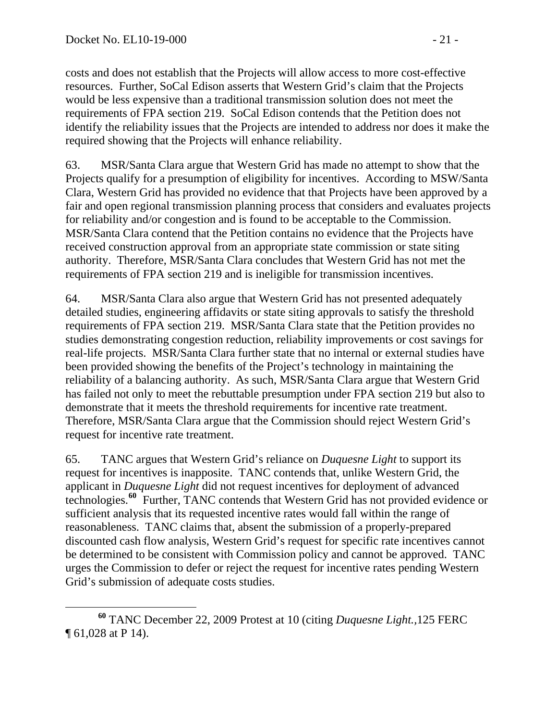costs and does not establish that the Projects will allow access to more cost-effective resources. Further, SoCal Edison asserts that Western Grid's claim that the Projects would be less expensive than a traditional transmission solution does not meet the requirements of FPA section 219. SoCal Edison contends that the Petition does not identify the reliability issues that the Projects are intended to address nor does it make the required showing that the Projects will enhance reliability.

63. MSR/Santa Clara argue that Western Grid has made no attempt to show that the Projects qualify for a presumption of eligibility for incentives. According to MSW/Santa Clara, Western Grid has provided no evidence that that Projects have been approved by a fair and open regional transmission planning process that considers and evaluates projects for reliability and/or congestion and is found to be acceptable to the Commission. MSR/Santa Clara contend that the Petition contains no evidence that the Projects have received construction approval from an appropriate state commission or state siting authority. Therefore, MSR/Santa Clara concludes that Western Grid has not met the requirements of FPA section 219 and is ineligible for transmission incentives.

64. MSR/Santa Clara also argue that Western Grid has not presented adequately detailed studies, engineering affidavits or state siting approvals to satisfy the threshold requirements of FPA section 219. MSR/Santa Clara state that the Petition provides no studies demonstrating congestion reduction, reliability improvements or cost savings for real-life projects. MSR/Santa Clara further state that no internal or external studies have been provided showing the benefits of the Project's technology in maintaining the reliability of a balancing authority. As such, MSR/Santa Clara argue that Western Grid has failed not only to meet the rebuttable presumption under FPA section 219 but also to demonstrate that it meets the threshold requirements for incentive rate treatment. Therefore, MSR/Santa Clara argue that the Commission should reject Western Grid's request for incentive rate treatment.

65. TANC argues that Western Grid's reliance on *Duquesne Light* to support its request for incentives is inapposite. TANC contends that, unlike Western Grid, the applicant in *Duquesne Light* did not request incentives for deployment of advanced technologies.**[60](#page-20-0)** Further, TANC contends that Western Grid has not provided evidence or sufficient analysis that its requested incentive rates would fall within the range of reasonableness. TANC claims that, absent the submission of a properly-prepared discounted cash flow analysis, Western Grid's request for specific rate incentives cannot be determined to be consistent with Commission policy and cannot be approved. TANC urges the Commission to defer or reject the request for incentive rates pending Western Grid's submission of adequate costs studies.

<span id="page-20-0"></span>**<sup>60</sup>** TANC December 22, 2009 Protest at 10 (citing *Duquesne Light.,*125 FERC ¶ 61,028 at P 14).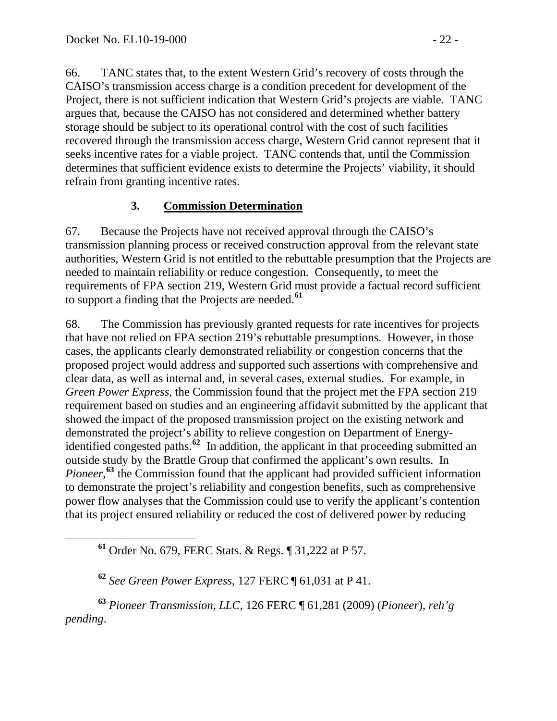66. TANC states that, to the extent Western Grid's recovery of costs through the CAISO's transmission access charge is a condition precedent for development of the Project, there is not sufficient indication that Western Grid's projects are viable. TANC argues that, because the CAISO has not considered and determined whether battery storage should be subject to its operational control with the cost of such facilities recovered through the transmission access charge, Western Grid cannot represent that it seeks incentive rates for a viable project. TANC contends that, until the Commission determines that sufficient evidence exists to determine the Projects' viability, it should refrain from granting incentive rates.

## **3. Commission Determination**

67. Because the Projects have not received approval through the CAISO's transmission planning process or received construction approval from the relevant state authorities, Western Grid is not entitled to the rebuttable presumption that the Projects are needed to maintain reliability or reduce congestion. Consequently, to meet the requirements of FPA section 219, Western Grid must provide a factual record sufficient to support a finding that the Projects are needed.**[61](#page-21-0)**

68. The Commission has previously granted requests for rate incentives for projects that have not relied on FPA section 219's rebuttable presumptions. However, in those cases, the applicants clearly demonstrated reliability or congestion concerns that the proposed project would address and supported such assertions with comprehensive and clear data, as well as internal and, in several cases, external studies. For example, in *Green Power Express*, the Commission found that the project met the FPA section 219 requirement based on studies and an engineering affidavit submitted by the applicant that showed the impact of the proposed transmission project on the existing network and demonstrated the project's ability to relieve congestion on Department of Energyidentified congested paths.**[62](#page-21-1)** In addition, the applicant in that proceeding submitted an outside study by the Brattle Group that confirmed the applicant's own results. In Pioneer,<sup>[63](#page-21-2)</sup> the Commission found that the applicant had provided sufficient information to demonstrate the project's reliability and congestion benefits, such as comprehensive power flow analyses that the Commission could use to verify the applicant's contention that its project ensured reliability or reduced the cost of delivered power by reducing

**<sup>61</sup>** Order No. 679, FERC Stats. & Regs. ¶ 31,222 at P 57.

**<sup>62</sup>** *See Green Power Express*, 127 FERC ¶ 61,031 at P 41.

<span id="page-21-2"></span><span id="page-21-1"></span><span id="page-21-0"></span>**<sup>63</sup>** *Pioneer Transmission, LLC*, 126 FERC ¶ 61,281 (2009) (*Pioneer*), *reh'g pending*.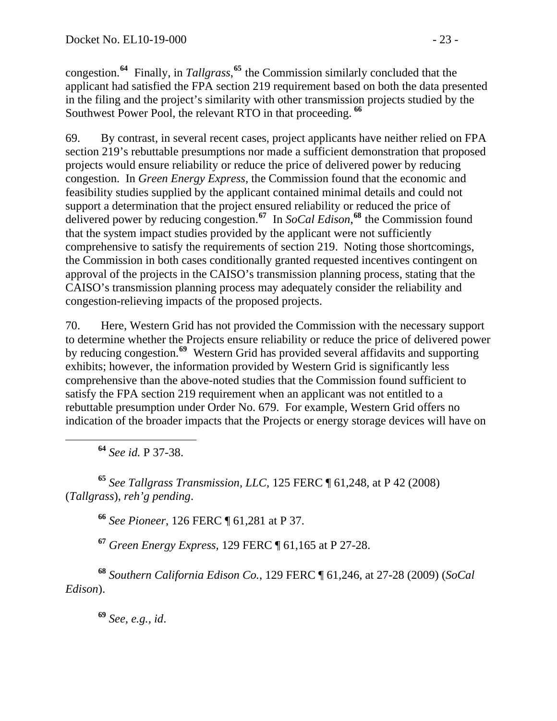congestion.**<sup>64</sup>** Finally, in *Tallgrass*, **<sup>65</sup>** the Commission similarly concluded that the applicant had satisfied the FPA section 219 requirement based on both the data presented in the filing and the project's similarity with other transmission projects studied by the Southwest Power Pool, the relevant RTO in that proceeding. **<sup>66</sup>**

69. By contrast, in several recent cases, project applicants have neither relied on FPA section 219's rebuttable presumptions nor made a sufficient demonstration that proposed projects would ensure reliability or reduce the price of delivered power by reducing congestion. In *Green Energy Express*, the Commission found that the economic and feasibility studies supplied by the applicant contained minimal details and could not support a determination that the project ensured reliability or reduced the price of delivered power by reducing congestion.**[67](#page-22-0)** In *SoCal Edison*, **[68](#page-22-1)** the Commission found that the system impact studies provided by the applicant were not sufficiently comprehensive to satisfy the requirements of section 219. Noting those shortcomings, the Commission in both cases conditionally granted requested incentives contingent on approval of the projects in the CAISO's transmission planning process, stating that the CAISO's transmission planning process may adequately consider the reliability and congestion-relieving impacts of the proposed projects.

70. Here, Western Grid has not provided the Commission with the necessary support to determine whether the Projects ensure reliability or reduce the price of delivered power by reducing congestion.**[69](#page-22-2)** Western Grid has provided several affidavits and supporting exhibits; however, the information provided by Western Grid is significantly less comprehensive than the above-noted studies that the Commission found sufficient to satisfy the FPA section 219 requirement when an applicant was not entitled to a rebuttable presumption under Order No. 679. For example, Western Grid offers no indication of the broader impacts that the Projects or energy storage devices will have on

**<sup>64</sup>** *See id.* P 37-38.

**<sup>65</sup>** *See Tallgrass Transmission, LLC*, 125 FERC ¶ 61,248, at P 42 (2008) (*Tallgrass*), *reh'g pending*.

**<sup>66</sup>** *See Pioneer*, 126 FERC ¶ 61,281 at P 37.

**<sup>67</sup>** *Green Energy Express,* 129 FERC ¶ 61,165 at P 27-28.

<span id="page-22-2"></span><span id="page-22-1"></span><span id="page-22-0"></span>**<sup>68</sup>** *Southern California Edison Co.*, 129 FERC ¶ 61,246, at 27-28 (2009) (*SoCal Edison*).

**<sup>69</sup>** *See, e.g., id*.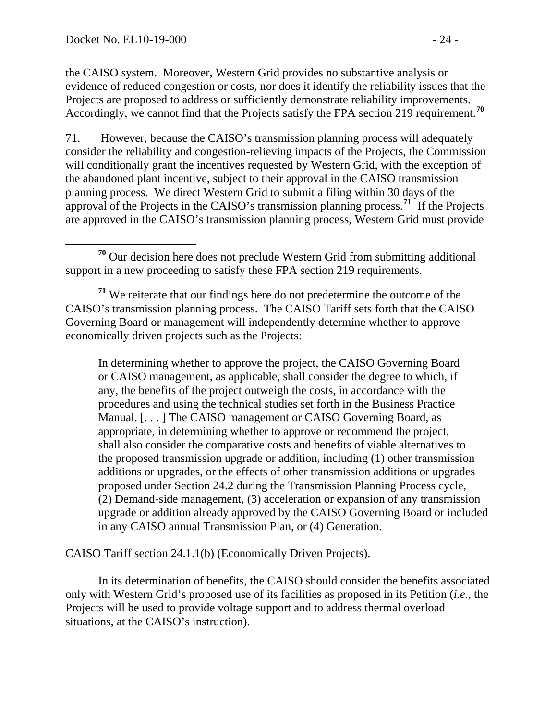the CAISO system. Moreover, Western Grid provides no substantive analysis or evidence of reduced congestion or costs, nor does it identify the reliability issues that the Projects are proposed to address or sufficiently demonstrate reliability improvements. Accordingly, we cannot find that the Projects satisfy the FPA section 219 requirement.**<sup>70</sup>**

71. However, because the CAISO's transmission planning process will adequately consider the reliability and congestion-relieving impacts of the Projects, the Commission will conditionally grant the incentives requested by Western Grid, with the exception of the abandoned plant incentive, subject to their approval in the CAISO transmission planning process. We direct Western Grid to submit a filing within 30 days of the approval of the Projects in the CAISO's transmission planning process.**[71](#page-23-0)** If the Projects are approved in the CAISO's transmission planning process, Western Grid must provide

<span id="page-23-0"></span>**<sup>71</sup>** We reiterate that our findings here do not predetermine the outcome of the CAISO's transmission planning process. The CAISO Tariff sets forth that the CAISO Governing Board or management will independently determine whether to approve economically driven projects such as the Projects:

In determining whether to approve the project, the CAISO Governing Board or CAISO management, as applicable, shall consider the degree to which, if any, the benefits of the project outweigh the costs, in accordance with the procedures and using the technical studies set forth in the Business Practice Manual. [. . . ] The CAISO management or CAISO Governing Board, as appropriate, in determining whether to approve or recommend the project, shall also consider the comparative costs and benefits of viable alternatives to the proposed transmission upgrade or addition, including (1) other transmission additions or upgrades, or the effects of other transmission additions or upgrades proposed under Section 24.2 during the Transmission Planning Process cycle, (2) Demand-side management, (3) acceleration or expansion of any transmission upgrade or addition already approved by the CAISO Governing Board or included in any CAISO annual Transmission Plan, or (4) Generation.

CAISO Tariff section 24.1.1(b) (Economically Driven Projects).

In its determination of benefits, the CAISO should consider the benefits associated only with Western Grid's proposed use of its facilities as proposed in its Petition (*i.e*., the Projects will be used to provide voltage support and to address thermal overload situations, at the CAISO's instruction).

**<sup>70</sup>** Our decision here does not preclude Western Grid from submitting additional support in a new proceeding to satisfy these FPA section 219 requirements.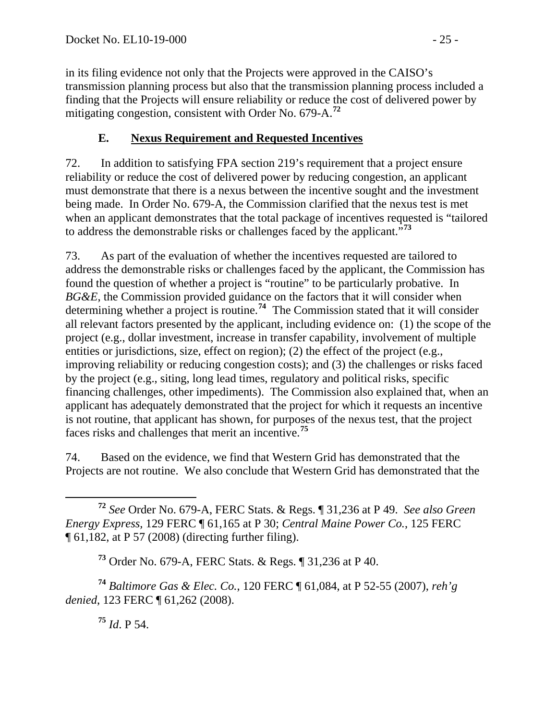in its filing evidence not only that the Projects were approved in the CAISO's transmission planning process but also that the transmission planning process included a finding that the Projects will ensure reliability or reduce the cost of delivered power by mitigating congestion, consistent with Order No. 679-A.**<sup>72</sup>**

### **E. Nexus Requirement and Requested Incentives**

72. In addition to satisfying FPA section 219's requirement that a project ensure reliability or reduce the cost of delivered power by reducing congestion, an applicant must demonstrate that there is a nexus between the incentive sought and the investment being made. In Order No. 679-A, the Commission clarified that the nexus test is met when an applicant demonstrates that the total package of incentives requested is "tailored to address the demonstrable risks or challenges faced by the applicant."**[73](#page-24-0)**

73. As part of the evaluation of whether the incentives requested are tailored to address the demonstrable risks or challenges faced by the applicant, the Commission has found the question of whether a project is "routine" to be particularly probative. In *BG&E*, the Commission provided guidance on the factors that it will consider when determining whether a project is routine.**[74](#page-24-1)** The Commission stated that it will consider all relevant factors presented by the applicant, including evidence on: (1) the scope of the project (e.g., dollar investment, increase in transfer capability, involvement of multiple entities or jurisdictions, size, effect on region); (2) the effect of the project (e.g., improving reliability or reducing congestion costs); and (3) the challenges or risks faced by the project (e.g., siting, long lead times, regulatory and political risks, specific financing challenges, other impediments). The Commission also explained that, when an applicant has adequately demonstrated that the project for which it requests an incentive is not routine, that applicant has shown, for purposes of the nexus test, that the project faces risks and challenges that merit an incentive.**[75](#page-24-2)**

74. Based on the evidence, we find that Western Grid has demonstrated that the Projects are not routine. We also conclude that Western Grid has demonstrated that the

**<sup>73</sup>** Order No. 679-A, FERC Stats. & Regs. ¶ 31,236 at P 40.

<span id="page-24-2"></span><span id="page-24-1"></span><span id="page-24-0"></span>**<sup>74</sup>** *Baltimore Gas & Elec. Co.*, 120 FERC ¶ 61,084, at P 52-55 (2007), *reh'g denied*, 123 FERC ¶ 61,262 (2008).

**<sup>75</sup>** *Id*. P 54.

**<sup>72</sup>** *See* Order No. 679-A, FERC Stats. & Regs. ¶ 31,236 at P 49. *See also Green Energy Express,* 129 FERC ¶ 61,165 at P 30; *Central Maine Power Co.*, 125 FERC  $\P$  61,182, at P 57 (2008) (directing further filing).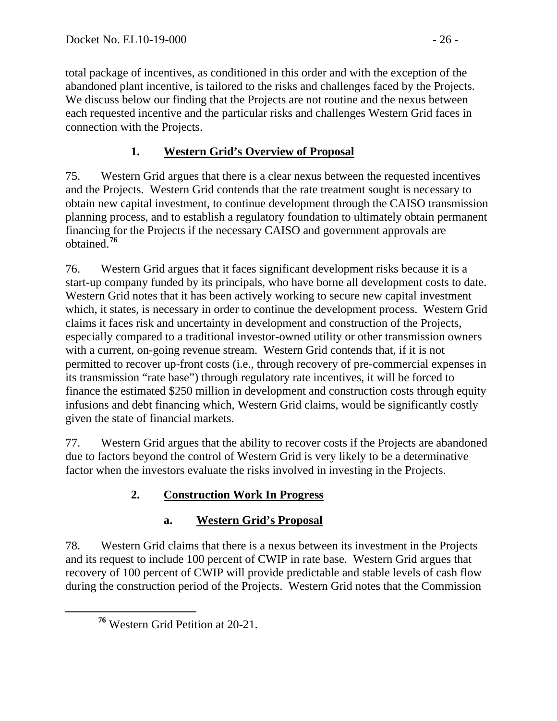total package of incentives, as conditioned in this order and with the exception of the abandoned plant incentive, is tailored to the risks and challenges faced by the Projects. We discuss below our finding that the Projects are not routine and the nexus between each requested incentive and the particular risks and challenges Western Grid faces in connection with the Projects.

# **1. Western Grid's Overview of Proposal**

75. Western Grid argues that there is a clear nexus between the requested incentives and the Projects. Western Grid contends that the rate treatment sought is necessary to obtain new capital investment, to continue development through the CAISO transmission planning process, and to establish a regulatory foundation to ultimately obtain permanent financing for the Projects if the necessary CAISO and government approvals are obtained.**[76](#page-25-0)**

76. Western Grid argues that it faces significant development risks because it is a start-up company funded by its principals, who have borne all development costs to date. Western Grid notes that it has been actively working to secure new capital investment which, it states, is necessary in order to continue the development process. Western Grid claims it faces risk and uncertainty in development and construction of the Projects, especially compared to a traditional investor-owned utility or other transmission owners with a current, on-going revenue stream. Western Grid contends that, if it is not permitted to recover up-front costs (i.e., through recovery of pre-commercial expenses in its transmission "rate base") through regulatory rate incentives, it will be forced to finance the estimated \$250 million in development and construction costs through equity infusions and debt financing which, Western Grid claims, would be significantly costly given the state of financial markets.

77. Western Grid argues that the ability to recover costs if the Projects are abandoned due to factors beyond the control of Western Grid is very likely to be a determinative factor when the investors evaluate the risks involved in investing in the Projects.

# **2. Construction Work In Progress**

# **a. Western Grid's Proposal**

78. Western Grid claims that there is a nexus between its investment in the Projects and its request to include 100 percent of CWIP in rate base. Western Grid argues that recovery of 100 percent of CWIP will provide predictable and stable levels of cash flow during the construction period of the Projects. Western Grid notes that the Commission

<span id="page-25-0"></span>**<sup>76</sup>** Western Grid Petition at 20-21.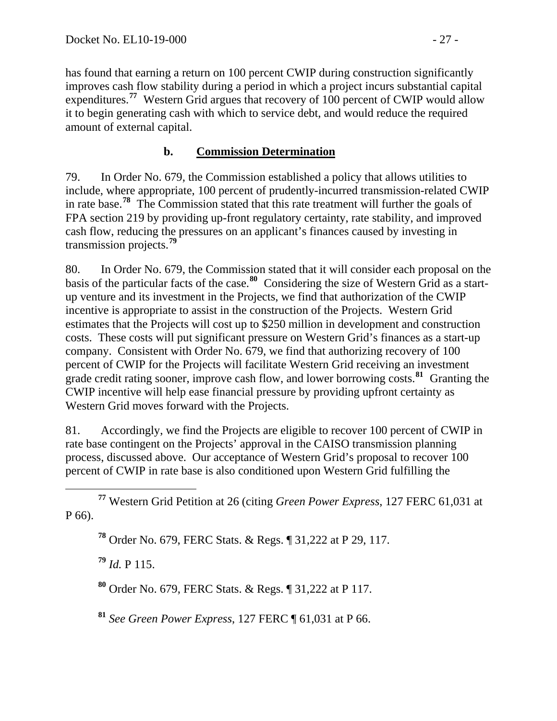has found that earning a return on 100 percent CWIP during construction significantly improves cash flow stability during a period in which a project incurs substantial capital expenditures.<sup>77</sup> Western Grid argues that recovery of 100 percent of CWIP would allow it to begin generating cash with which to service debt, and would reduce the required amount of external capital.

### **b. Commission Determination**

79. In Order No. 679, the Commission established a policy that allows utilities to include, where appropriate, 100 percent of prudently-incurred transmission-related CWIP in rate base.**[78](#page-26-0)** The Commission stated that this rate treatment will further the goals of FPA section 219 by providing up-front regulatory certainty, rate stability, and improved cash flow, reducing the pressures on an applicant's finances caused by investing in transmission projects.**[79](#page-26-1)**

80. In Order No. 679, the Commission stated that it will consider each proposal on the basis of the particular facts of the case.<sup>[80](#page-26-2)</sup> Considering the size of Western Grid as a startup venture and its investment in the Projects, we find that authorization of the CWIP incentive is appropriate to assist in the construction of the Projects. Western Grid estimates that the Projects will cost up to \$250 million in development and construction costs. These costs will put significant pressure on Western Grid's finances as a start-up company. Consistent with Order No. 679, we find that authorizing recovery of 100 percent of CWIP for the Projects will facilitate Western Grid receiving an investment grade credit rating sooner, improve cash flow, and lower borrowing costs.**[81](#page-26-3)** Granting the CWIP incentive will help ease financial pressure by providing upfront certainty as Western Grid moves forward with the Projects.

81. Accordingly, we find the Projects are eligible to recover 100 percent of CWIP in rate base contingent on the Projects' approval in the CAISO transmission planning process, discussed above. Our acceptance of Western Grid's proposal to recover 100 percent of CWIP in rate base is also conditioned upon Western Grid fulfilling the

**<sup>78</sup>** Order No. 679, FERC Stats. & Regs. ¶ 31,222 at P 29, 117.

**<sup>79</sup>** *Id.* P 115.

<span id="page-26-2"></span>**<sup>80</sup>** Order No. 679, FERC Stats. & Regs. ¶ 31,222 at P 117.

<span id="page-26-3"></span>**<sup>81</sup>** *See Green Power Express*, 127 FERC ¶ 61,031 at P 66.

<span id="page-26-1"></span><span id="page-26-0"></span>**<sup>77</sup>** Western Grid Petition at 26 (citing *Green Power Express*, 127 FERC 61,031 at P 66).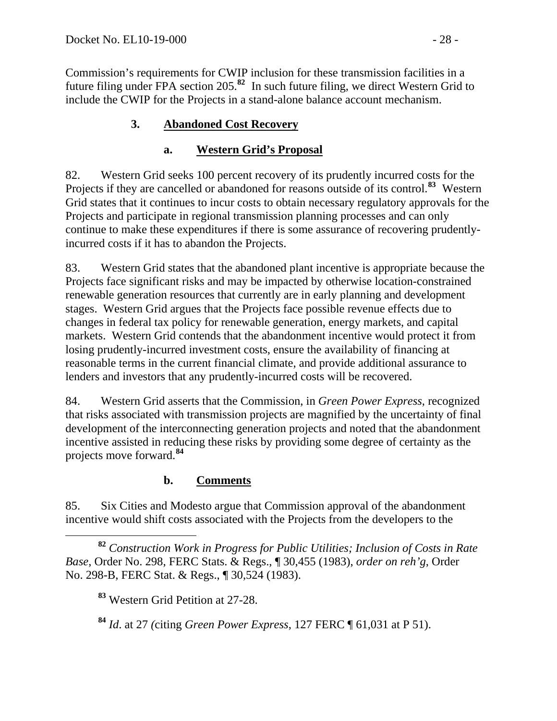Commission's requirements for CWIP inclusion for these transmission facilities in a future filing under FPA section 205.**<sup>82</sup>** In such future filing, we direct Western Grid to include the CWIP for the Projects in a stand-alone balance account mechanism.

## **3. Abandoned Cost Recovery**

# **a. Western Grid's Proposal**

82. Western Grid seeks 100 percent recovery of its prudently incurred costs for the Projects if they are cancelled or abandoned for reasons outside of its control.**[83](#page-27-0)** Western Grid states that it continues to incur costs to obtain necessary regulatory approvals for the Projects and participate in regional transmission planning processes and can only continue to make these expenditures if there is some assurance of recovering prudentlyincurred costs if it has to abandon the Projects.

83. Western Grid states that the abandoned plant incentive is appropriate because the Projects face significant risks and may be impacted by otherwise location-constrained renewable generation resources that currently are in early planning and development stages. Western Grid argues that the Projects face possible revenue effects due to changes in federal tax policy for renewable generation, energy markets, and capital markets. Western Grid contends that the abandonment incentive would protect it from losing prudently-incurred investment costs, ensure the availability of financing at reasonable terms in the current financial climate, and provide additional assurance to lenders and investors that any prudently-incurred costs will be recovered.

84. Western Grid asserts that the Commission, in *Green Power Express*, recognized that risks associated with transmission projects are magnified by the uncertainty of final development of the interconnecting generation projects and noted that the abandonment incentive assisted in reducing these risks by providing some degree of certainty as the projects move forward.**[84](#page-27-1)**

## **b. Comments**

85. Six Cities and Modesto argue that Commission approval of the abandonment incentive would shift costs associated with the Projects from the developers to the

<span id="page-27-0"></span> **<sup>82</sup>** *Construction Work in Progress for Public Utilities; Inclusion of Costs in Rate Base*, Order No. 298, FERC Stats. & Regs., ¶ 30,455 (1983), *order on reh'g*, Order No. 298-B, FERC Stat. & Regs., ¶ 30,524 (1983).

**<sup>83</sup>** Western Grid Petition at 27-28.

<span id="page-27-1"></span>**<sup>84</sup>** *Id*. at 27 *(*citing *Green Power Express*, 127 FERC ¶ 61,031 at P 51).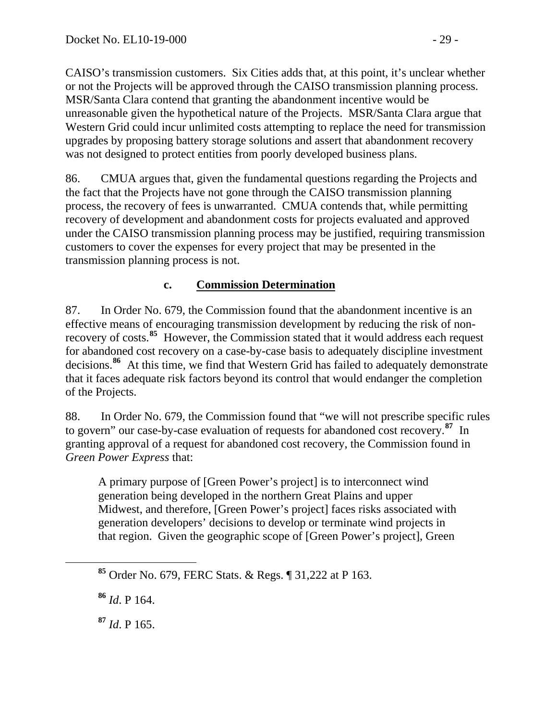CAISO's transmission customers. Six Cities adds that, at this point, it's unclear whether or not the Projects will be approved through the CAISO transmission planning process. MSR/Santa Clara contend that granting the abandonment incentive would be unreasonable given the hypothetical nature of the Projects. MSR/Santa Clara argue that Western Grid could incur unlimited costs attempting to replace the need for transmission upgrades by proposing battery storage solutions and assert that abandonment recovery was not designed to protect entities from poorly developed business plans.

86. CMUA argues that, given the fundamental questions regarding the Projects and the fact that the Projects have not gone through the CAISO transmission planning process, the recovery of fees is unwarranted. CMUA contends that, while permitting recovery of development and abandonment costs for projects evaluated and approved under the CAISO transmission planning process may be justified, requiring transmission customers to cover the expenses for every project that may be presented in the transmission planning process is not.

#### **c. Commission Determination**

87. In Order No. 679, the Commission found that the abandonment incentive is an effective means of encouraging transmission development by reducing the risk of nonrecovery of costs.**[85](#page-28-0)** However, the Commission stated that it would address each request for abandoned cost recovery on a case-by-case basis to adequately discipline investment decisions.**[86](#page-28-1)** At this time, we find that Western Grid has failed to adequately demonstrate that it faces adequate risk factors beyond its control that would endanger the completion of the Projects.

88. In Order No. 679, the Commission found that "we will not prescribe specific rules to govern" our case-by-case evaluation of requests for abandoned cost recovery.**[87](#page-28-2)** In granting approval of a request for abandoned cost recovery, the Commission found in *Green Power Express* that:

A primary purpose of [Green Power's project] is to interconnect wind generation being developed in the northern Great Plains and upper Midwest, and therefore, [Green Power's project] faces risks associated with generation developers' decisions to develop or terminate wind projects in that region. Given the geographic scope of [Green Power's project], Green

<span id="page-28-1"></span>**<sup>86</sup>** *Id*. P 164.

<span id="page-28-2"></span>**<sup>87</sup>** *Id*. P 165.

<span id="page-28-0"></span>**<sup>85</sup>** Order No. 679, FERC Stats. & Regs. ¶ 31,222 at P 163.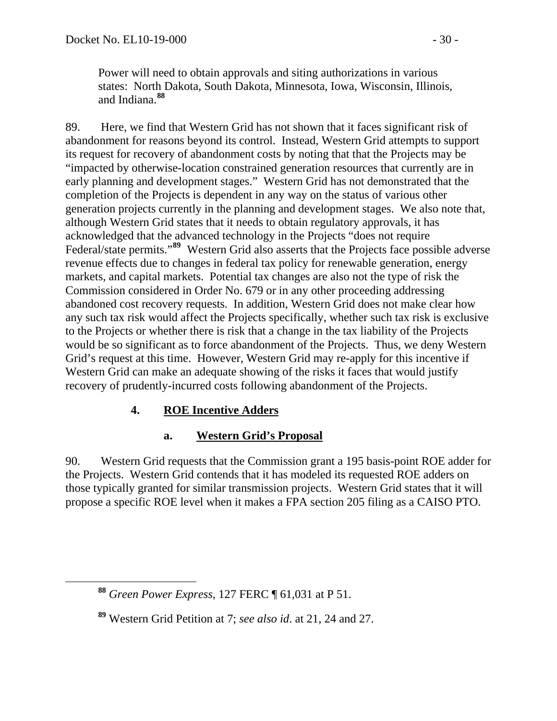Power will need to obtain approvals and siting authorizations in various states: North Dakota, South Dakota, Minnesota, Iowa, Wisconsin, Illinois, and Indiana.**[88](#page-29-0)**

89. Here, we find that Western Grid has not shown that it faces significant risk of abandonment for reasons beyond its control. Instead, Western Grid attempts to support its request for recovery of abandonment costs by noting that that the Projects may be "impacted by otherwise-location constrained generation resources that currently are in early planning and development stages." Western Grid has not demonstrated that the completion of the Projects is dependent in any way on the status of various other generation projects currently in the planning and development stages. We also note that, although Western Grid states that it needs to obtain regulatory approvals, it has acknowledged that the advanced technology in the Projects "does not require Federal/state permits."<sup>[89](#page-29-1)</sup> Western Grid also asserts that the Projects face possible adverse revenue effects due to changes in federal tax policy for renewable generation, energy markets, and capital markets. Potential tax changes are also not the type of risk the Commission considered in Order No. 679 or in any other proceeding addressing abandoned cost recovery requests. In addition, Western Grid does not make clear how any such tax risk would affect the Projects specifically, whether such tax risk is exclusive to the Projects or whether there is risk that a change in the tax liability of the Projects would be so significant as to force abandonment of the Projects. Thus, we deny Western Grid's request at this time. However, Western Grid may re-apply for this incentive if Western Grid can make an adequate showing of the risks it faces that would justify recovery of prudently-incurred costs following abandonment of the Projects.

#### **4. ROE Incentive Adders**

#### **a. Western Grid's Proposal**

90. Western Grid requests that the Commission grant a 195 basis-point ROE adder for the Projects. Western Grid contends that it has modeled its requested ROE adders on those typically granted for similar transmission projects. Western Grid states that it will propose a specific ROE level when it makes a FPA section 205 filing as a CAISO PTO.

<span id="page-29-0"></span>**<sup>88</sup>** *Green Power Express*, 127 FERC ¶ 61,031 at P 51.

<span id="page-29-1"></span>**<sup>89</sup>** Western Grid Petition at 7; *see also id*. at 21, 24 and 27.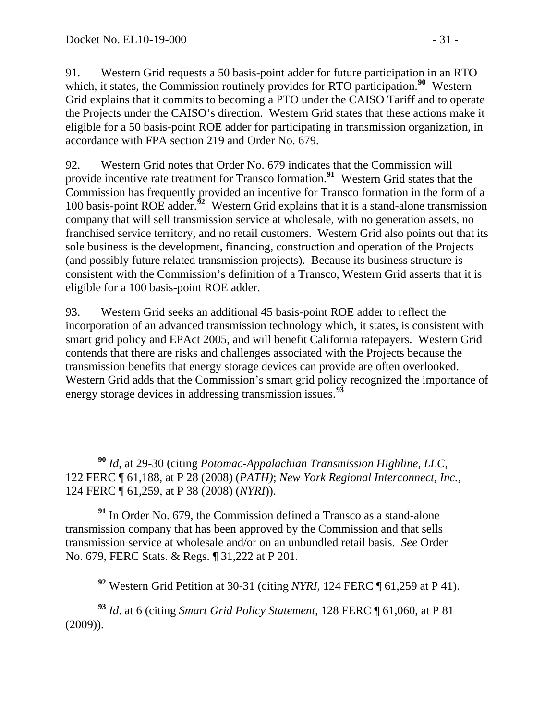91. Western Grid requests a 50 basis-point adder for future participation in an RTO which, it states, the Commission routinely provides for RTO participation.<sup>[90](#page-30-0)</sup> Western Grid explains that it commits to becoming a PTO under the CAISO Tariff and to operate the Projects under the CAISO's direction. Western Grid states that these actions make it eligible for a 50 basis-point ROE adder for participating in transmission organization, in accordance with FPA section 219 and Order No. 679.

92. Western Grid notes that Order No. 679 indicates that the Commission will provide incentive rate treatment for Transco formation.**[91](#page-30-1)** Western Grid states that the Commission has frequently provided an incentive for Transco formation in the form of a 100 basis-point ROE adder.**[92](#page-30-2)** Western Grid explains that it is a stand-alone transmission company that will sell transmission service at wholesale, with no generation assets, no franchised service territory, and no retail customers. Western Grid also points out that its sole business is the development, financing, construction and operation of the Projects (and possibly future related transmission projects). Because its business structure is consistent with the Commission's definition of a Transco, Western Grid asserts that it is eligible for a 100 basis-point ROE adder.

93. Western Grid seeks an additional 45 basis-point ROE adder to reflect the incorporation of an advanced transmission technology which, it states, is consistent with smart grid policy and EPAct 2005, and will benefit California ratepayers. Western Grid contends that there are risks and challenges associated with the Projects because the transmission benefits that energy storage devices can provide are often overlooked. Western Grid adds that the Commission's smart grid policy recognized the importance of energy storage devices in addressing transmission issues.**[93](#page-30-3)**

<span id="page-30-1"></span>**<sup>91</sup>** In Order No. 679, the Commission defined a Transco as a stand-alone transmission company that has been approved by the Commission and that sells transmission service at wholesale and/or on an unbundled retail basis. *See* Order No. 679, FERC Stats. & Regs. ¶ 31,222 at P 201.

**<sup>92</sup>** Western Grid Petition at 30-31 (citing *NYRI*, 124 FERC ¶ 61,259 at P 41).

<span id="page-30-3"></span><span id="page-30-2"></span>**<sup>93</sup>** *Id*. at 6 (citing *Smart Grid Policy Statement*, 128 FERC ¶ 61,060, at P 81 (2009)).

<span id="page-30-0"></span>**<sup>90</sup>** *Id*, at 29-30 (citing *Potomac-Appalachian Transmission Highline, LLC*, 122 FERC ¶ 61,188, at P 28 (2008) (*PATH)*; *New York Regional Interconnect, Inc.,*  124 FERC ¶ 61,259*,* at P 38 (2008) (*NYRI*)).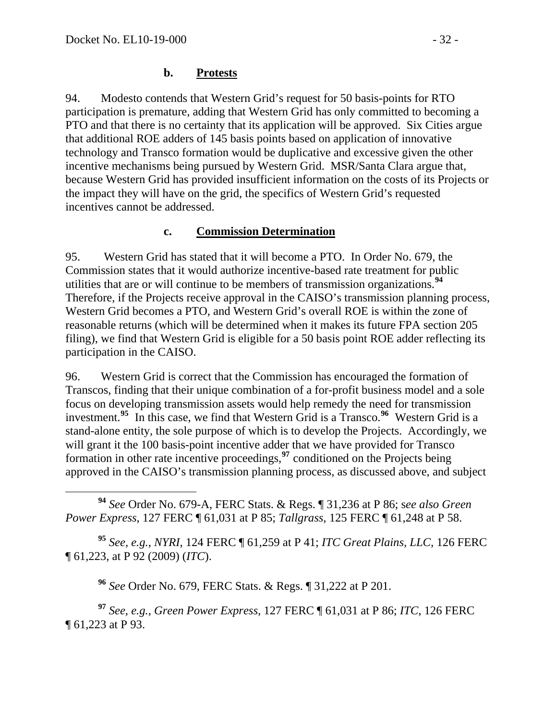94. Modesto contends that Western Grid's request for 50 basis-points for RTO participation is premature, adding that Western Grid has only committed to becoming a PTO and that there is no certainty that its application will be approved. Six Cities argue that additional ROE adders of 145 basis points based on application of innovative technology and Transco formation would be duplicative and excessive given the other incentive mechanisms being pursued by Western Grid. MSR/Santa Clara argue that, because Western Grid has provided insufficient information on the costs of its Projects or the impact they will have on the grid, the specifics of Western Grid's requested incentives cannot be addressed.

#### **c. Commission Determination**

95. Western Grid has stated that it will become a PTO. In Order No. 679, the Commission states that it would authorize incentive-based rate treatment for public utilities that are or will continue to be members of transmission organizations.**[94](#page-31-0)** Therefore, if the Projects receive approval in the CAISO's transmission planning process, Western Grid becomes a PTO, and Western Grid's overall ROE is within the zone of reasonable returns (which will be determined when it makes its future FPA section 205 filing), we find that Western Grid is eligible for a 50 basis point ROE adder reflecting its participation in the CAISO.

96. Western Grid is correct that the Commission has encouraged the formation of Transcos, finding that their unique combination of a for-profit business model and a sole focus on developing transmission assets would help remedy the need for transmission investment.**[95](#page-31-1)** In this case, we find that Western Grid is a Transco.**[96](#page-31-2)** Western Grid is a stand-alone entity, the sole purpose of which is to develop the Projects. Accordingly, we will grant it the 100 basis-point incentive adder that we have provided for Transco formation in other rate incentive proceedings,**[97](#page-31-3)** conditioned on the Projects being approved in the CAISO's transmission planning process, as discussed above, and subject

<span id="page-31-0"></span> **<sup>94</sup>** *See* Order No. 679-A, FERC Stats. & Regs. ¶ 31,236 at P 86; s*ee also Green Power Express*, 127 FERC ¶ 61,031 at P 85; *Tallgrass*, 125 FERC ¶ 61,248 at P 58.

<span id="page-31-1"></span>**<sup>95</sup>** *See, e.g., NYRI*, 124 FERC ¶ 61,259 at P 41; *ITC Great Plains, LLC,* 126 FERC ¶ 61,223, at P 92 (2009) (*ITC*).

**<sup>96</sup>** *See* Order No. 679, FERC Stats. & Regs. ¶ 31,222 at P 201.

<span id="page-31-3"></span><span id="page-31-2"></span>**<sup>97</sup>** *See, e.g., Green Power Express*, 127 FERC ¶ 61,031 at P 86; *ITC*, 126 FERC ¶ 61,223 at P 93.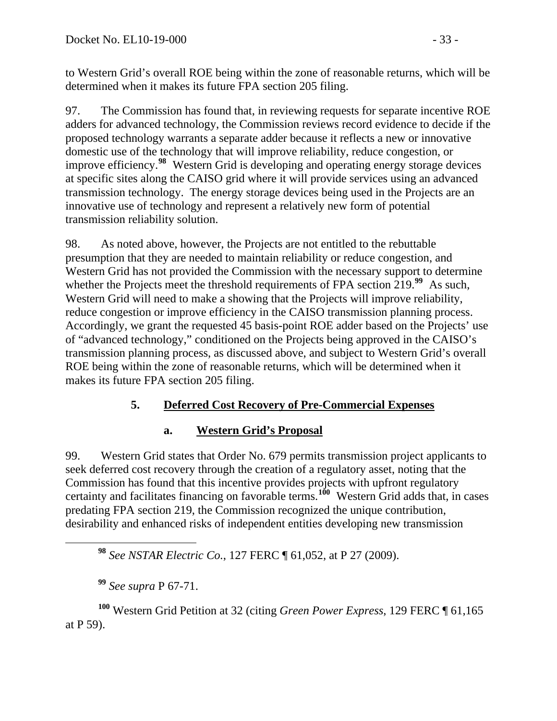to Western Grid's overall ROE being within the zone of reasonable returns, which will be determined when it makes its future FPA section 205 filing.

97. The Commission has found that, in reviewing requests for separate incentive ROE adders for advanced technology, the Commission reviews record evidence to decide if the proposed technology warrants a separate adder because it reflects a new or innovative domestic use of the technology that will improve reliability, reduce congestion, or improve efficiency.**[98](#page-32-0)** Western Grid is developing and operating energy storage devices at specific sites along the CAISO grid where it will provide services using an advanced transmission technology. The energy storage devices being used in the Projects are an innovative use of technology and represent a relatively new form of potential transmission reliability solution.

98. As noted above, however, the Projects are not entitled to the rebuttable presumption that they are needed to maintain reliability or reduce congestion, and Western Grid has not provided the Commission with the necessary support to determine whether the Projects meet the threshold requirements of FPA section 219.<sup>[99](#page-32-1)</sup> As such, Western Grid will need to make a showing that the Projects will improve reliability, reduce congestion or improve efficiency in the CAISO transmission planning process. Accordingly, we grant the requested 45 basis-point ROE adder based on the Projects' use of "advanced technology," conditioned on the Projects being approved in the CAISO's transmission planning process, as discussed above, and subject to Western Grid's overall ROE being within the zone of reasonable returns, which will be determined when it makes its future FPA section 205 filing.

## **5. Deferred Cost Recovery of Pre-Commercial Expenses**

#### **a. Western Grid's Proposal**

99. Western Grid states that Order No. 679 permits transmission project applicants to seek deferred cost recovery through the creation of a regulatory asset, noting that the Commission has found that this incentive provides projects with upfront regulatory certainty and facilitates financing on favorable terms.<sup>[100](#page-32-2)</sup> Western Grid adds that, in cases predating FPA section 219, the Commission recognized the unique contribution, desirability and enhanced risks of independent entities developing new transmission

**<sup>98</sup>** *See NSTAR Electric Co.*, 127 FERC ¶ 61,052, at P 27 (2009).

**<sup>99</sup>** *See supra* P 67-71.

<span id="page-32-2"></span><span id="page-32-1"></span><span id="page-32-0"></span>**<sup>100</sup>** Western Grid Petition at 32 (citing *Green Power Express*, 129 FERC ¶ 61,165 at P 59).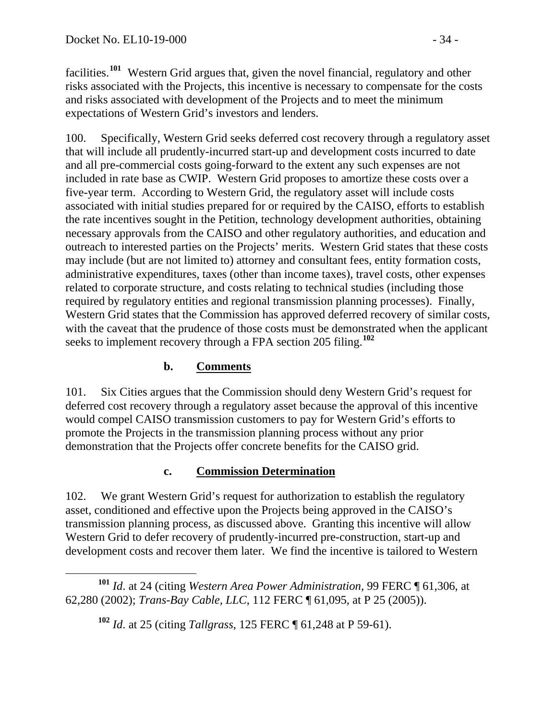facilities.**<sup>101</sup>** Western Grid argues that, given the novel financial, regulatory and other risks associated with the Projects, this incentive is necessary to compensate for the costs and risks associated with development of the Projects and to meet the minimum expectations of Western Grid's investors and lenders.

100. Specifically, Western Grid seeks deferred cost recovery through a regulatory asset that will include all prudently-incurred start-up and development costs incurred to date and all pre-commercial costs going-forward to the extent any such expenses are not included in rate base as CWIP. Western Grid proposes to amortize these costs over a five-year term. According to Western Grid, the regulatory asset will include costs associated with initial studies prepared for or required by the CAISO, efforts to establish the rate incentives sought in the Petition, technology development authorities, obtaining necessary approvals from the CAISO and other regulatory authorities, and education and outreach to interested parties on the Projects' merits. Western Grid states that these costs may include (but are not limited to) attorney and consultant fees, entity formation costs, administrative expenditures, taxes (other than income taxes), travel costs, other expenses related to corporate structure, and costs relating to technical studies (including those required by regulatory entities and regional transmission planning processes). Finally, Western Grid states that the Commission has approved deferred recovery of similar costs, with the caveat that the prudence of those costs must be demonstrated when the applicant seeks to implement recovery through a FPA section 205 filing.**[102](#page-33-0)**

### **b. Comments**

101. Six Cities argues that the Commission should deny Western Grid's request for deferred cost recovery through a regulatory asset because the approval of this incentive would compel CAISO transmission customers to pay for Western Grid's efforts to promote the Projects in the transmission planning process without any prior demonstration that the Projects offer concrete benefits for the CAISO grid.

#### **c. Commission Determination**

102. We grant Western Grid's request for authorization to establish the regulatory asset, conditioned and effective upon the Projects being approved in the CAISO's transmission planning process, as discussed above. Granting this incentive will allow Western Grid to defer recovery of prudently-incurred pre-construction, start-up and development costs and recover them later. We find the incentive is tailored to Western

<span id="page-33-0"></span>**<sup>101</sup>** *Id*. at 24 (citing *Western Area Power Administration*, 99 FERC ¶ 61,306, at 62,280 (2002); *Trans-Bay Cable, LLC*, 112 FERC ¶ 61,095, at P 25 (2005)).

**<sup>102</sup>** *Id*. at 25 (citing *Tallgrass*, 125 FERC ¶ 61,248 at P 59-61).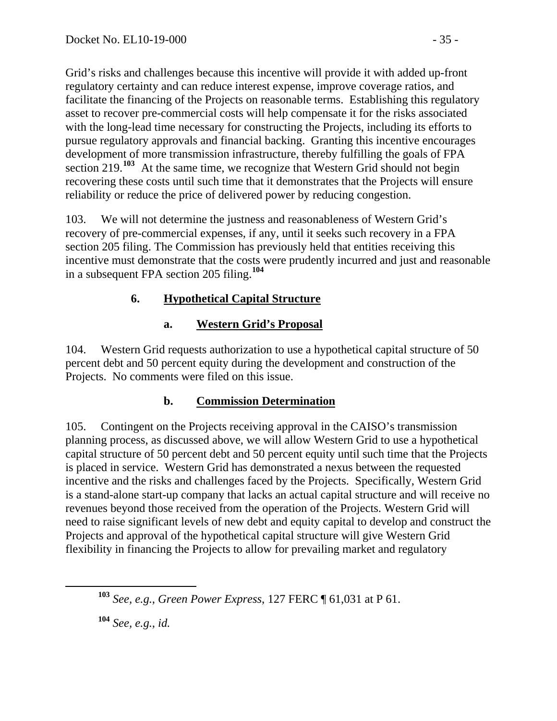Grid's risks and challenges because this incentive will provide it with added up-front regulatory certainty and can reduce interest expense, improve coverage ratios, and facilitate the financing of the Projects on reasonable terms. Establishing this regulatory asset to recover pre-commercial costs will help compensate it for the risks associated with the long-lead time necessary for constructing the Projects, including its efforts to pursue regulatory approvals and financial backing. Granting this incentive encourages development of more transmission infrastructure, thereby fulfilling the goals of FPA section 219.<sup>103</sup> At the same time, we recognize that Western Grid should not begin recovering these costs until such time that it demonstrates that the Projects will ensure reliability or reduce the price of delivered power by reducing congestion.

103. We will not determine the justness and reasonableness of Western Grid's recovery of pre-commercial expenses, if any, until it seeks such recovery in a FPA section 205 filing. The Commission has previously held that entities receiving this incentive must demonstrate that the costs were prudently incurred and just and reasonable in a subsequent FPA section 205 filing.**[104](#page-34-0)**

## **6. Hypothetical Capital Structure**

#### **a. Western Grid's Proposal**

104. Western Grid requests authorization to use a hypothetical capital structure of 50 percent debt and 50 percent equity during the development and construction of the Projects. No comments were filed on this issue.

#### **b. Commission Determination**

105. Contingent on the Projects receiving approval in the CAISO's transmission planning process, as discussed above, we will allow Western Grid to use a hypothetical capital structure of 50 percent debt and 50 percent equity until such time that the Projects is placed in service. Western Grid has demonstrated a nexus between the requested incentive and the risks and challenges faced by the Projects. Specifically, Western Grid is a stand-alone start-up company that lacks an actual capital structure and will receive no revenues beyond those received from the operation of the Projects. Western Grid will need to raise significant levels of new debt and equity capital to develop and construct the Projects and approval of the hypothetical capital structure will give Western Grid flexibility in financing the Projects to allow for prevailing market and regulatory

<span id="page-34-0"></span>**<sup>104</sup>** *See, e.g.*, *id.*

**<sup>103</sup>** *See, e.g.*, *Green Power Express*, 127 FERC ¶ 61,031 at P 61.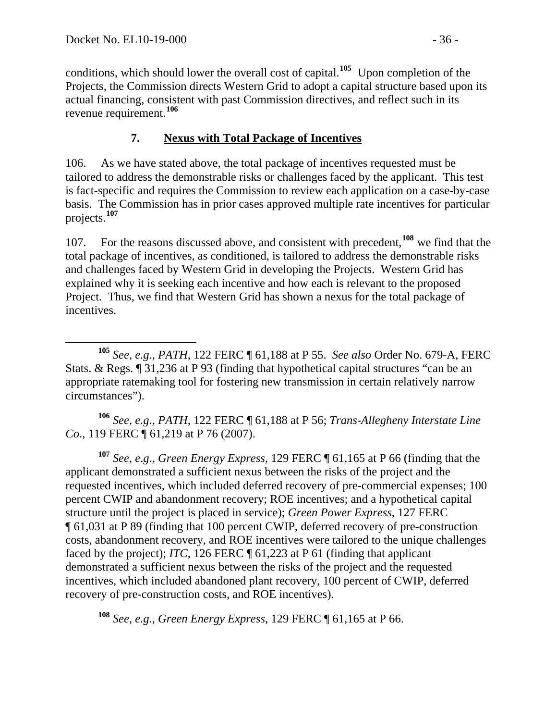conditions, which should lower the overall cost of capital.**<sup>105</sup>** Upon completion of the Projects, the Commission directs Western Grid to adopt a capital structure based upon its actual financing, consistent with past Commission directives, and reflect such in its revenue requirement.**<sup>106</sup>**

#### **7. Nexus with Total Package of Incentives**

106. As we have stated above, the total package of incentives requested must be tailored to address the demonstrable risks or challenges faced by the applicant. This test is fact-specific and requires the Commission to review each application on a case-by-case basis. The Commission has in prior cases approved multiple rate incentives for particular projects.**[107](#page-35-0)**

107. For the reasons discussed above, and consistent with precedent,**[108](#page-35-1)** we find that the total package of incentives, as conditioned, is tailored to address the demonstrable risks and challenges faced by Western Grid in developing the Projects. Western Grid has explained why it is seeking each incentive and how each is relevant to the proposed Project. Thus, we find that Western Grid has shown a nexus for the total package of incentives.

**<sup>106</sup>** *See, e.g., PATH*, 122 FERC ¶ 61,188 at P 56; *Trans-Allegheny Interstate Line Co.*, 119 FERC ¶ 61,219 at P 76 (2007).

<span id="page-35-0"></span>**<sup>107</sup>** *See*, *e*.*g*., *Green Energy Express*, 129 FERC ¶ 61,165 at P 66 (finding that the applicant demonstrated a sufficient nexus between the risks of the project and the requested incentives, which included deferred recovery of pre-commercial expenses; 100 percent CWIP and abandonment recovery; ROE incentives; and a hypothetical capital structure until the project is placed in service); *Green Power Express*, 127 FERC ¶ 61,031 at P 89 (finding that 100 percent CWIP, deferred recovery of pre-construction costs, abandonment recovery, and ROE incentives were tailored to the unique challenges faced by the project); *ITC*, 126 FERC ¶ 61,223 at P 61 (finding that applicant demonstrated a sufficient nexus between the risks of the project and the requested incentives, which included abandoned plant recovery, 100 percent of CWIP, deferred recovery of pre-construction costs, and ROE incentives).

<span id="page-35-1"></span>**<sup>108</sup>** *See, e.g., Green Energy Express*, 129 FERC ¶ 61,165 at P 66.

**<sup>105</sup>** *See, e.g., PATH*, 122 FERC ¶ 61,188 at P 55. *See also* Order No. 679-A, FERC Stats. & Regs. ¶ 31,236 at P 93 (finding that hypothetical capital structures "can be an appropriate ratemaking tool for fostering new transmission in certain relatively narrow circumstances").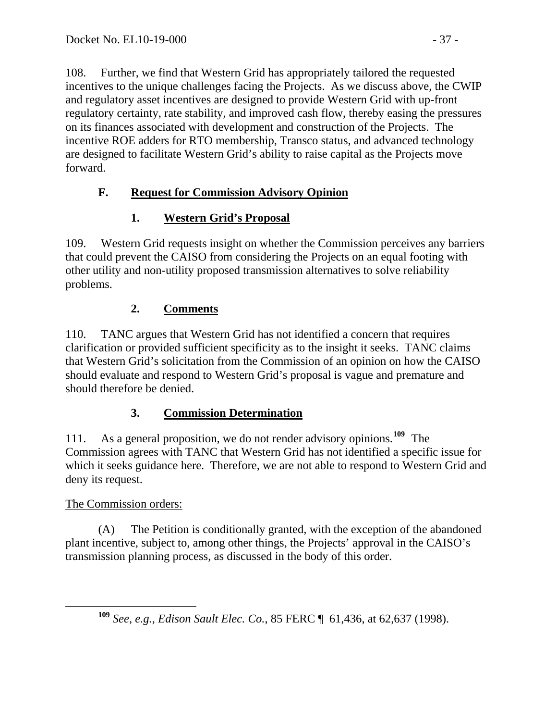108. Further, we find that Western Grid has appropriately tailored the requested incentives to the unique challenges facing the Projects. As we discuss above, the CWIP and regulatory asset incentives are designed to provide Western Grid with up-front regulatory certainty, rate stability, and improved cash flow, thereby easing the pressures on its finances associated with development and construction of the Projects. The incentive ROE adders for RTO membership, Transco status, and advanced technology are designed to facilitate Western Grid's ability to raise capital as the Projects move forward.

## **F. Request for Commission Advisory Opinion**

# **1. Western Grid's Proposal**

109. Western Grid requests insight on whether the Commission perceives any barriers that could prevent the CAISO from considering the Projects on an equal footing with other utility and non-utility proposed transmission alternatives to solve reliability problems.

# **2. Comments**

110. TANC argues that Western Grid has not identified a concern that requires clarification or provided sufficient specificity as to the insight it seeks. TANC claims that Western Grid's solicitation from the Commission of an opinion on how the CAISO should evaluate and respond to Western Grid's proposal is vague and premature and should therefore be denied.

# **3. Commission Determination**

111. As a general proposition, we do not render advisory opinions.**[109](#page-36-0)** The Commission agrees with TANC that Western Grid has not identified a specific issue for which it seeks guidance here. Therefore, we are not able to respond to Western Grid and deny its request.

# The Commission orders:

<span id="page-36-0"></span> (A) The Petition is conditionally granted, with the exception of the abandoned plant incentive, subject to, among other things, the Projects' approval in the CAISO's transmission planning process, as discussed in the body of this order.